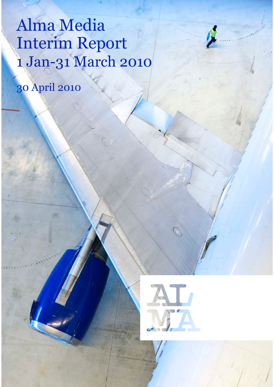# Alma Media Interim Report 1 Jan-31 March 2010

30 April 2010

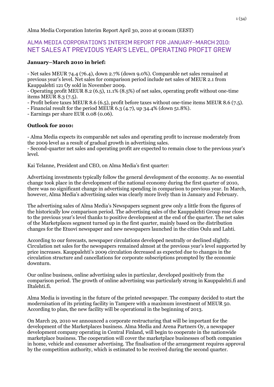Alma Media Corporation Interim Report April 30, 2010 at 9:00am (EEST)

## ALMA MEDIA CORPORATION'S INTERIM REPORT FOR JANUARY-MARCH 2010: NET SALES AT PREVIOUS YEAR'S LEVEL, OPERATING PROFIT GREW

## **January–March 2010 in brief:**

- Net sales MEUR 74.4 (76.4), down 2.7% (down 9.0%). Comparable net sales remained at previous year's level. Net sales for comparison period include net sales of MEUR 2.1 from Kauppalehti 121 Oy sold in November 2009.

- Operating profit MEUR 8.2 (6.5), 11.1% (8.5%) of net sales, operating profit without one-time items MEUR 8.3 (7.5).

- Profit before taxes MEUR 8.6 (6.5), profit before taxes without one-time items MEUR 8.6 (7.5).

- Financial result for the period MEUR 6.3 (4.7), up 34.4% (down 51.8%).

- Earnings per share EUR 0.08 (0.06).

## **Outlook for 2010:**

- Alma Media expects its comparable net sales and operating profit to increase moderately from the 2009 level as a result of gradual growth in advertising sales.

- Second-quarter net sales and operating profit are expected to remain close to the previous year's level.

Kai Telanne, President and CEO, on Alma Media's first quarter:

Advertising investments typically follow the general development of the economy. As no essential change took place in the development of the national economy during the first quarter of 2010, there was no significant change in advertising spending in comparison to previous year. In March, however, Alma Media's advertising sales was clearly more lively than in January and February.

The advertising sales of Alma Media's Newspapers segment grew only a little from the figures of the historically low comparison period. The advertising sales of the Kauppalehti Group rose close to the previous year's level thanks to positive development at the end of the quarter. The net sales of the Marketplaces segment turned up in the first quarter, mainly based on the distribution changes for the Etuovi newspaper and new newspapers launched in the cities Oulu and Lahti.

According to our forecasts, newspaper circulations developed neutrally or declined slightly. Circulation net sales for the newspapers remained almost at the previous year's level supported by price increases. Kauppalehti's 2009 circulation decreased as expected due to changes in the circulation structure and cancellations for corporate subscriptions prompted by the economic downturn.

Our online business, online advertising sales in particular, developed positively from the comparison period. The growth of online advertising was particularly strong in Kauppalehti.fi and Iltalehti.fi.

Alma Media is investing in the future of the printed newspaper. The company decided to start the modernisation of its printing facility in Tampere with a maximum investment of MEUR 50. According to plan, the new facility will be operational in the beginning of 2013.

On March 29, 2010 we announced a corporate restructuring that will be important for the development of the Marketplaces business. Alma Media and Arena Partners Oy, a newspaper development company operating in Central Finland, will begin to cooperate in the nationwide marketplace business. The cooperation will cover the marketplace businesses of both companies in home, vehicle and consumer advertising. The finalisation of the arrangement requires approval by the competition authority, which is estimated to be received during the second quarter.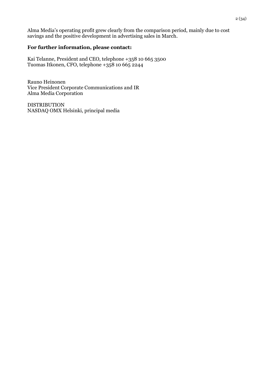Alma Media's operating profit grew clearly from the comparison period, mainly due to cost savings and the positive development in advertising sales in March.

## **For further information, please contact:**

Kai Telanne, President and CEO, telephone +358 10 665 3500 Tuomas Itkonen, CFO, telephone +358 10 665 2244

Rauno Heinonen Vice President Corporate Communications and IR Alma Media Corporation

DISTRIBUTION NASDAQ OMX Helsinki, principal media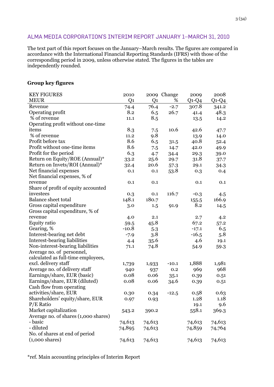## ALMA MEDIA CORPORATION'S INTERIM REPORT JANUARY 1-MARCH 31, 2010

The text part of this report focuses on the January–March results. The figures are compared in accordance with the International Financial Reporting Standards (IFRS) with those of the corresponding period in 2009, unless otherwise stated. The figures in the tables are independently rounded.

## **Group key figures**

| <b>KEY FIGURES</b>                   | 2010           |                | 2009 Change | 2009    | 2008    |
|--------------------------------------|----------------|----------------|-------------|---------|---------|
| <b>MEUR</b>                          | Q <sub>1</sub> | Q <sub>1</sub> | %           | $Q1-Q4$ | $Q1-Q4$ |
| Revenue                              | 74.4           | 76.4           | $-2.7$      | 307.8   | 341.2   |
| Operating profit                     | 8.2            | 6.5            | 26.7        | 41.4    | 48.3    |
| % of revenue                         | 11.1           | 8.5            |             | 13.5    | 14.2    |
| Operating profit without one-time    |                |                |             |         |         |
| items                                | 8.3            | 7.5            | 10.6        | 42.6    | 47.7    |
| % of revenue                         | 11.2           | 9.8            |             | 13.9    | 14.0    |
| Profit before tax                    | 8.6            | 6.5            | 31.5        | 40.8    | 52.4    |
| Profit without one-time items        | 8.6            | 7.5            | 14.7        | 42.0    | 49.9    |
| Profit for the period                | 6.3            | 4.7            | 34.4        | 29.3    | 39.0    |
| Return on Equity/ROE (Annual)*       | 33.2           | 25.6           | 29.7        | 31.8    | 37.7    |
| Return on Invets/ROI (Annual)*       | 32.4           | 20.6           | 57.3        | 29.1    | 34.3    |
| Net financial expenses               | 0.1            | 0.1            | 53.8        | 0.3     | 0.4     |
| Net financial expenses, % of         |                |                |             |         |         |
| revenue                              | 0.1            | 0.1            |             | 0.1     | 0.1     |
| Share of profit of equity accounted  |                |                |             |         |         |
| investees                            | 0.3            | 0.1            | 116.7       | $-0.3$  | 4.5     |
| <b>Balance sheet total</b>           | 148.1          | 180.7          |             | 155.5   | 166.9   |
| Gross capital expenditure            | 3.0            | 1.5            | 91.9        | 8.2     | 14.5    |
| Gross capital expenditure, % of      |                |                |             |         |         |
| revenue                              | 4.0            | 2.1            |             | 2.7     | 4.2     |
| <b>Equity ratio</b>                  | 59.5           | 45.8           |             | 67.2    | 57.2    |
| Gearing, %                           | $-10.8$        | 5.3            |             | $-17.1$ | 6.5     |
| Interest-bearing net debt            | $-7.9$         | 3.8            |             | $-16.5$ | 5.8     |
| Interest-bearing liabilities         | 4.4            | 35.6           |             | 4.6     | 19.1    |
| Non-interest-bearing liabilities     | 71.1           | 74.8           |             | 54.9    | 59.3    |
| Average no. of personnel,            |                |                |             |         |         |
| calculated as full-time employees,   |                |                |             |         |         |
| excl. delivery staff                 | 1,739          | 1,933          | $-10.1$     | 1,888   | 1,981   |
| Average no. of delivery staff        | 940            | 937            | 0.2         | 969     | 968     |
| Earnings/share, EUR (basic)          | 0.08           | 0.06           | 35.1        | 0.39    | 0.51    |
| Earnings/share, EUR (diluted)        | 0.08           | 0.06           | 34.6        | 0.39    | 0.51    |
| Cash flow from operating             |                |                |             |         |         |
| activities/share, EUR                | 0.30           | 0.34           | $-12.5$     | 0.58    | 0.63    |
| Shareholders' equity/share, EUR      | 0.97           | 0.93           |             | 1.28    | 1.18    |
| $P/E$ Ratio                          |                |                |             | 19.1    | 9.6     |
| Market capitalization                | 543.2          | 390.2          |             | 558.1   | 369.3   |
| Average no. of shares (1,000 shares) |                |                |             |         |         |
| - basic                              | 74,613         | 74,613         |             | 74,613  | 74,613  |
| - diluted                            | 74,895         | 74,613         |             | 74,859  | 74,764  |
| No. of shares at end of period       |                |                |             |         |         |
| $(1,000 \text{ shares})$             | 74,613         | 74,613         |             | 74,613  | 74,613  |
|                                      |                |                |             |         |         |

\*ref. Main accounting principles of Interim Report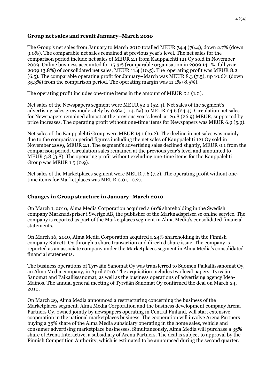## **Group net sales and result January–March 2010**

The Group's net sales from January to March 2010 totalled MEUR 74.4 (76.4), down 2.7% (down 9.0%). The comparable net sales remained at previous year's level. The net sales for the comparison period include net sales of MEUR 2.1 from Kauppalehti 121 Oy sold in November 2009. Online business accounted for 15.3% (comparable organisation in 2009 14.1%, full year 2009 13.8%) of consolidated net sales, MEUR 11.4 (10.5). The operating profit was MEUR 8.2 (6.5). The comparable operating profit for January–March was MEUR 8.3 (7.5), up 10.6% (down 35.3%) from the comparison period. The operating margin was 11.1% (8.5%).

The operating profit includes one-time items in the amount of MEUR 0.1 (1.0).

Net sales of the Newspapers segment were MEUR 52.2 (52.4). Net sales of the segment's advertising sales grew moderately by 0.9% (–14.1%) to MEUR 24.6 (24.4). Circulation net sales for Newspapers remained almost at the previous year's level, at 26.8 (26.9) MEUR, supported by price increases. The operating profit without one-time items for Newspapers was MEUR 6.9 (5.9).

Net sales of the Kauppalehti Group were MEUR 14.1 (16.2). The decline in net sales was mainly due to the comparison period figures including the net sales of Kauppalehti 121 Oy sold in November 2009, MEUR 2.1. The segment's advertising sales declined slightly, MEUR 0.1 from the comparison period. Circulation sales remained at the previous year's level and amounted to MEUR 3.8 (3.8). The operating profit without excluding one-time items for the Kauppalehti Group was MEUR 1.5 (0.9).

Net sales of the Marketplaces segment were MEUR 7.6 (7.2). The operating profit without onetime items for Marketplaces was MEUR 0.0 (–0.2).

## **Changes in Group structure in January–March 2010**

On March 1, 2010, Alma Media Corporation acquired a 60% shareholding in the Swedish company Marknadspriser i Sverige AB, the publisher of the Marknadspriser.se online service. The company is reported as part of the Marketplaces segment in Alma Media's consolidated financial statements.

On March 16, 2010, Alma Media Corporation acquired a 24% shareholding in the Finnish company Kateetti Oy through a share transaction and directed share issue. The company is reported as an associate company under the Marketplaces segment in Alma Media's consolidated financial statements.

The business operations of Tyrvään Sanomat Oy was transferred to Suomen Paikallissanomat Oy, an Alma Media company, in April 2010. The acquisition includes two local papers, Tyrvään Sanomat and Paikallissanomat, as well as the business operations of advertising agency Idea-Mainos. The annual general meeting of Tyrvään Sanomat Oy confirmed the deal on March 24, 2010.

On March 29, Alma Media announced a restructuring concerning the business of the Marketplaces segment. Alma Media Corporation and the business development company Arena Partners Oy, owned jointly by newspapers operating in Central Finland, will start extensive cooperation in the national marketplaces business. The cooperation will involve Arena Partners buying a 35% share of the Alma Media subsidiary operating in the home sales, vehicle and consumer advertising marketplace businesses. Simultaneously, Alma Media will purchase a 35% share of Arena Interactive, a subsidiary of Arena Partners. The deal is subject to approval by the Finnish Competition Authority, which is estimated to be announced during the second quarter.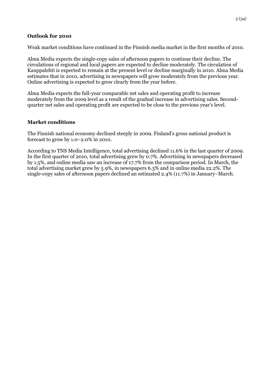#### **Outlook for 2010**

Weak market conditions have continued in the Finnish media market in the first months of 2010.

Alma Media expects the single-copy sales of afternoon papers to continue their decline. The circulations of regional and local papers are expected to decline moderately. The circulation of Kauppalehti is expected to remain at the present level or decline marginally in 2010. Alma Media estimates that in 2010, advertising in newspapers will grow moderately from the previous year. Online advertising is expected to grow clearly from the year before.

Alma Media expects the full-year comparable net sales and operating profit to increase moderately from the 2009 level as a result of the gradual increase in advertising sales. Secondquarter net sales and operating profit are expected to be close to the previous year's level.

#### **Market conditions**

The Finnish national economy declined steeply in 2009. Finland's gross national product is forecast to grow by 1.0–2.0% in 2010.

According to TNS Media Intelligence, total advertising declined 11.6% in the last quarter of 2009. In the first quarter of 2010, total advertising grew by 0.7%. Advertising in newspapers decreased by 1.5%, and online media saw an increase of 17.7% from the comparison period. In March, the total advertising market grew by 5.9%, in newspapers 6.3% and in online media 22.2%. The single-copy sales of afternoon papers declined an estimated 2.4% (11.7%) in January–March.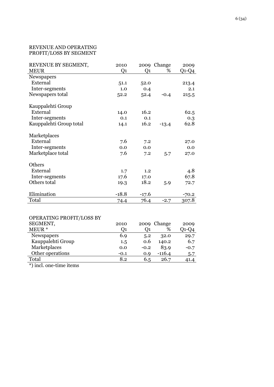#### REVENUE AND OPERATING PROFIT/LOSS BY SEGMENT

| REVENUE BY SEGMENT,     | 2010    |         | 2009 Change | 2009    |
|-------------------------|---------|---------|-------------|---------|
| <b>MEUR</b>             | Q1      | Q1      | %           | Q1-Q4   |
| Newspapers              |         |         |             |         |
| External                | 51.1    | 52.0    |             | 213.4   |
| Inter-segments          | 1.0     | 0.4     |             | 2.1     |
| Newspapers total        | 52.2    | 52.4    | $-0.4$      | 215.5   |
|                         |         |         |             |         |
| Kauppalehti Group       |         |         |             |         |
| External                | 14.0    | 16.2    |             | 62.5    |
| Inter-segments          | 0.1     | 0.1     |             | 0.3     |
| Kauppalehti Group total | 14.1    | 16.2    | $-13.4$     | 62.8    |
| Marketplaces            |         |         |             |         |
| External                | 7.6     | 7.2     |             | 27.0    |
| Inter-segments          | 0.0     | 0.0     |             | 0.0     |
| Marketplace total       | 7.6     | 7.2     | 5.7         | 27.0    |
| Others                  |         |         |             |         |
| External                | 1.7     | 1.2     |             | 4.8     |
| Inter-segments          | 17.6    | 17.0    |             | 67.8    |
| Others total            |         | 18.2    |             |         |
|                         | 19.3    |         | 5.9         | 72.7    |
| Elimination             | $-18.8$ | $-17.6$ |             | $-70.2$ |
| Total                   | 74.4    | 76.4    | $-2.7$      | 307.8   |

## OPERATING PROFIT/LOSS BY

| SEGMENT,          | 2010   |        | 2009 Change | 2009   |
|-------------------|--------|--------|-------------|--------|
| MEUR <sup>*</sup> | Ο1     |        | %           | 01-04  |
| <b>Newspapers</b> | 6.9    | 5.2    | 32.0        | 29.7   |
| Kauppalehti Group | 1.5    | 0.6    | 140.2       | 6.7    |
| Marketplaces      | 0.0    | $-0.2$ | 83.9        | $-0.7$ |
| Other operations  | $-0.1$ | 0.9    | $-116.4$    | 5.7    |
| Total             | 8.2    | 6.5    | 26.7        | 41.4   |
| $\cdots$          |        |        |             |        |

\*) incl. one-time items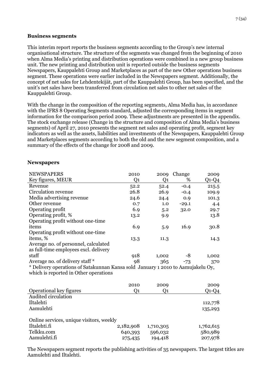#### **Business segments**

This interim report reports the business segments according to the Group's new internal organisational structure. The structure of the segments was changed from the beginning of 2010 when Alma Media's printing and distribution operations were combined in a new group business unit. The new printing and distribution unit is reported outside the business segments Newspapers, Kauppalehti Group and Marketplaces as part of the new Other operations business segment. These operations were earlier included in the Newspapers segment. Additionally, the concept of net sales for Lehdentekijät, part of the Kauppalehti Group, has been specified, and the unit's net sales have been transferred from circulation net sales to other net sales of the Kauppalehti Group.

With the change in the composition of the reporting segments, Alma Media has, in accordance with the IFRS 8 Operating Segments standard, adjusted the corresponding items in segment information for the comparison period 2009. These adjustments are presented in the appendix. The stock exchange release (Change in the structure and composition of Alma Media's business segments) of April 27, 2010 presents the segment net sales and operating profit, segment key indicators as well as the assets, liabilities and investments of the Newspapers, Kauppalehti Group and Marketplaces segments according to both the old and the new segment composition, and a summary of the effects of the change for 2008 and 2009.

| <b>NEWSPAPERS</b>                                                               | 2010           | 2009  | Change  | 2009    |
|---------------------------------------------------------------------------------|----------------|-------|---------|---------|
| Key figures, MEUR                                                               | Q <sub>1</sub> | Q1    | %       | $Q1-Q4$ |
| Revenue                                                                         | 52.2           | 52.4  | $-0.4$  | 215.5   |
| Circulation revenue                                                             | 26.8           | 26.9  | $-0.4$  | 109.9   |
| Media advertising revenue                                                       | 24.6           | 24.4  | 0.9     | 101.3   |
| Other revenue                                                                   | 0.7            | 1.0   | $-29.1$ | 4.4     |
| Operating profit                                                                | 6.9            | 5.2   | 32.0    | 29.7    |
| Operating profit, %                                                             | 13.2           | 9.9   |         | 13.8    |
| Operating profit without one-time                                               |                |       |         |         |
| items                                                                           | 6.9            | 5.9   | 16.9    | 30.8    |
| Operating profit without one-time                                               |                |       |         |         |
| items, %                                                                        | 13.3           | 11.3  |         | 14.3    |
| Average no. of personnel, calculated                                            |                |       |         |         |
| as full-time employees excl. delivery                                           |                |       |         |         |
| staff                                                                           | 918            | 1,002 | -8      | 1,002   |
| Average no. of delivery staff *                                                 | 98             | 365   | $-73$   | 370     |
| * Delivery operations of Satakunnan Kansa sold January 1 2010 to Aamujakelu Oy, |                |       |         |         |
| which is reported in Other operations                                           |                |       |         |         |
|                                                                                 |                |       |         |         |
|                                                                                 | 2010           | 2009  |         | 2009    |

|                                          | <b>2010</b> | 2009      | 2009      |
|------------------------------------------|-------------|-----------|-----------|
| Operational key figures                  | O1          |           | Q1-Q4     |
| Audited circulation                      |             |           |           |
| Iltalehti                                |             |           | 112,778   |
| Aamulehti                                |             |           | 135,293   |
| Online services, unique visitors, weekly |             |           |           |
| Iltalehti.fi                             | 2,182,908   | 1,710,305 | 1,762,615 |
| Telkku.com                               | 640,393     | 596,032   | 580,989   |
| Aamulehti.fi                             | 275,435     | 194,418   | 207,978   |

The Newspapers segment reports the publishing activities of 35 newspapers. The largest titles are Aamulehti and Iltalehti.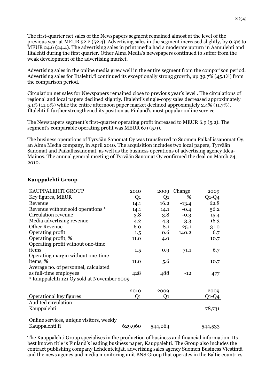The first-quarter net sales of the Newspapers segment remained almost at the level of the previous year at MEUR 52.2 (52.4). Advertising sales in the segment increased slightly, by 0.9% to MEUR 24.6 (24.4). The advertising sales in print media had a moderate upturn in Aamulehti and Iltalehti during the first quarter. Other Alma Media's newspapers continued to suffer from the weak development of the advertising market.

Advertising sales in the online media grew well in the entire segment from the comparison period. Advertising sales for Iltalehti.fi continued its exceptionally strong growth, up 39.7% (45.1%) from the comparison period.

Circulation net sales for Newspapers remained close to previous year's level . The circulations of regional and local papers declined slightly. Iltalehti's single-copy sales decreased approximately 5.1% (11.0%) while the entire afternoon paper market declined approximately 2.4% (11.7%). Iltalehti.fi further strengthened its position as Finland's most popular online service.

The Newspapers segment's first-quarter operating profit increased to MEUR 6.9 (5.2). The segment's comparable operating profit was MEUR 6.9 (5.9).

The business operations of Tyrvään Sanomat Oy was transferred to Suomen Paikallissanomat Oy, an Alma Media company, in April 2010. The acquisition includes two local papers, Tyrvään Sanomat and Paikallissanomat, as well as the business operations of advertising agency Idea-Mainos. The annual general meeting of Tyrvään Sanomat Oy confirmed the deal on March 24, 2010.

| KAUPPALEHTI GROUP                          | 2010           | 2009    | Change  | 2009    |
|--------------------------------------------|----------------|---------|---------|---------|
| Key figures, MEUR                          | Q <sub>1</sub> | Q1      | %       | $Q1-Q4$ |
| Revenue                                    | 14.1           | 16.2    | $-13.4$ | 62.8    |
| Revenue without sold operations *          | 14.1           | 14.1    | $-0.4$  | 56.2    |
| Circulation revenue                        | 3.8            | 3.8     | $-0.3$  | 15.4    |
| Media advertising revenue                  | 4.2            | 4.3     | $-3.3$  | 16.3    |
| <b>Other Revenue</b>                       | 6.0            | 8.1     | $-25.1$ | 31.0    |
| Operating profit                           | 1.5            | 0.6     | 140.2   | 6.7     |
| Operating profit, %                        | 11.0           | 4.0     |         | 10.7    |
| Operating profit without one-time          |                |         |         |         |
| items                                      | 1.5            | 0.9     | 71.1    | 6.7     |
| Operating margin without one-time          |                |         |         |         |
| items, %                                   | 11.0           | 5.6     |         | 10.7    |
| Average no. of personnel, calculated       |                |         |         |         |
| as full-time employees                     | 428            | 488     | $-12$   | 477     |
| * Kauppalehti 121 Oy sold at November 2009 |                |         |         |         |
|                                            |                |         |         |         |
|                                            | 2010           | 2009    |         | 2009    |
| Operational key figures                    | Q <sub>1</sub> | Q1      |         | Q1-Q4   |
| Audited circulation                        |                |         |         |         |
| Kauppalehti                                |                |         |         | 78,731  |
|                                            |                |         |         |         |
| Online services, unique visitors, weekly   |                |         |         |         |
| Kauppalehti.fi                             | 629,960        | 544,064 |         | 544,533 |

## **Kauppalehti Group**

The Kauppalehti Group specialises in the production of business and financial information. Its best known title is Finland's leading business paper, Kauppalehti. The Group also includes the contract publishing company Lehdentekijät, advertising sales agency Suomen Business Viestintä and the news agency and media monitoring unit BNS Group that operates in the Baltic countries.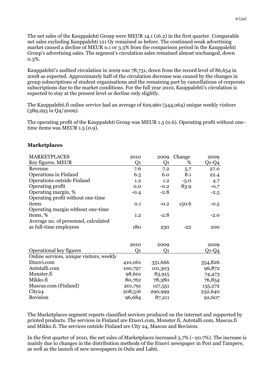The net sales of the Kauppalehti Group were MEUR 14.1 (16.2) in the first quarter. Comparable net sales excluding Kauppalehti 121 Oy remained as before. The continued weak advertising market caused a decline of MEUR 0.1 or 3.3% from the comparison period in the Kauppalehti Group's advertising sales. The segment's circulation sales remained almost unchanged, down 0.3%.

Kauppalehti's audited circulation in 2009 was 78,731, down from the record level of 86,654 in 2008 as expected. Approximately half of the circulation decrease was caused by the changes in group subscriptions of student organisations and the remaining part by cancellations of corporate subscriptions due to the market conditions. For the full year 2010, Kauppalehti's circulation is expected to stay at the present level or decline only slightly.

The Kauppalehti.fi online service had an average of 629,960 (544,064) unique weekly visitors (589,293 in Q4/2009).

The operating profit of the Kauppalehti Group was MEUR 1.5 (0.6). Operating profit without onetime items was MEUR 1.5 (0.9).

#### **Marketplaces**

| <b>MARKETPLACES</b>                      | 2010           | 2009           | Change | 2009    |
|------------------------------------------|----------------|----------------|--------|---------|
| Key figures, MEUR                        | Q <sub>1</sub> | Q <sub>1</sub> | %      | $Q1-Q4$ |
| Revenue                                  | 7.6            | 7.2            | 5.7    | 27.0    |
| Operations in Finland                    | 6.5            | 6.0            | 8.1    | 22.4    |
| Operations outside Finland               | 1.2            | 1.2            | $-5.0$ | 4.7     |
| Operating profit                         | 0.0            | $-0.2$         | 83.9   | $-0.7$  |
| Operating margin, %                      | $-0.4$         | $-2.8$         |        | $-2.5$  |
| Operating profit without one-time        |                |                |        |         |
| items                                    | 0.1            | $-0.2$         | 150.6  | $-0.5$  |
| Operating margin without one-time        |                |                |        |         |
| items, %                                 | 1.2            | $-2.8$         |        | $-2.0$  |
| Average no. of personnel, calculated     |                |                |        |         |
| as full-time employees                   | 180            | 230            | $-22$  | 200     |
|                                          |                |                |        |         |
|                                          |                |                |        |         |
|                                          | 2010           | 2009           |        | 2009    |
| Operational key figures                  | Q1             | Q1             |        | Q1-Q4   |
| Online services, unique visitors, weekly |                |                |        |         |
| Etuovi.com                               | 410,061        | 351,666        |        | 354,826 |
| Autotalli.com                            | 100,797        | 101,303        |        | 96,872  |
| Monster.fi                               | 98,601         | 83,915         |        | 74,473  |
| Mikko.fi                                 | 80,762         | 78,380         |        | 76,854  |
| Mascus.com (Finland)                     | 201,791        | 127,551        |        | 135,272 |
| City <sub>24</sub>                       | 208,516        | 290,999        |        | 232,640 |
| <b>Bovision</b>                          | 96,684         | 87,211         |        | 92,607  |

The Marketplaces segment reports classified services produced on the internet and supported by printed products. The services in Finland are Etuovi.com, Monster.fi, Autotalli.com, Mascus.fi and Mikko.fi. The services outside Finland are City 24, Mascus and Bovision.

In the first quarter of 2010, the net sales of Marketplaces increased 5.7% (–20.7%). The increase is mainly due to changes in the distribution methods of the Etuovi newspaper in Pori and Tampere, as well as the launch of new newspapers in Oulu and Lahti.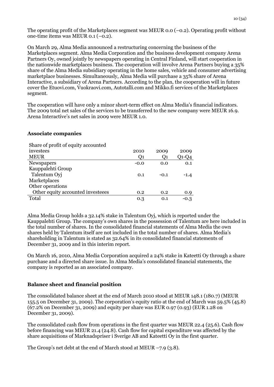The operating profit of the Marketplaces segment was MEUR  $0.0$  ( $-0.2$ ). Operating profit without one-time items was MEUR 0.1 (–0.2).

On March 29, Alma Media announced a restructuring concerning the business of the Marketplaces segment. Alma Media Corporation and the business development company Arena Partners Oy, owned jointly by newspapers operating in Central Finland, will start cooperation in the nationwide marketplaces business. The cooperation will involve Arena Partners buying a 35% share of the Alma Media subsidiary operating in the home sales, vehicle and consumer advertising marketplace businesses. Simultaneously, Alma Media will purchase a 35% share of Arena Interactive, a subsidiary of Arena Partners. According to the plan, the cooperation will in future cover the Etuovi.com, Vuokraovi.com, Autotalli.com and Mikko.fi services of the Marketplaces segment.

The cooperation will have only a minor short-term effect on Alma Media's financial indicators. The 2009 total net sales of the services to be transferred to the new company were MEUR 16.9. Arena Interactive's net sales in 2009 were MEUR 1.0.

#### **Associate companies**

| $\frac{1}{2}$ . $\frac{1}{2}$ . $\frac{1}{2}$ . $\frac{1}{2}$ . $\frac{1}{2}$ . The set of the set of the set of the set of the set of the set of the set of the set of the set of the set of the set of the set of the set of the set of the set |        |        |              |
|---------------------------------------------------------------------------------------------------------------------------------------------------------------------------------------------------------------------------------------------------|--------|--------|--------------|
| investees                                                                                                                                                                                                                                         | 2010   | 2009   | 2009         |
| <b>MEUR</b>                                                                                                                                                                                                                                       | O1     | Q1     | $Q$ 1- $Q$ 4 |
| Newspapers                                                                                                                                                                                                                                        | $-0.0$ | 0.0    | 0.1          |
| Kauppalehti Group                                                                                                                                                                                                                                 |        |        |              |
| Talentum Oyj                                                                                                                                                                                                                                      | 0.1    | $-0.1$ | $-1.4$       |
| Marketplaces                                                                                                                                                                                                                                      |        |        |              |
| Other operations                                                                                                                                                                                                                                  |        |        |              |
| Other equity accounted investeees                                                                                                                                                                                                                 | 0.2    | 0.2    | 0.9          |
| Total                                                                                                                                                                                                                                             | 0.3    | 0.1    | $-0.3$       |
|                                                                                                                                                                                                                                                   |        |        |              |

Alma Media Group holds a 32.14% stake in Talentum Oyj, which is reported under the Kauppalehti Group. The company's own shares in the possession of Talentum are here included in the total number of shares. In the consolidated financial statements of Alma Media the own shares held by Talentum itself are not included in the total number of shares. Alma Media's shareholding in Talentum is stated as 32.64% in its consolidated financial statements of December 31, 2009 and in this interim report.

On March 16, 2010, Alma Media Corporation acquired a 24% stake in Kateetti Oy through a share purchase and a directed share issue. In Alma Media's consolidated financial statements, the company is reported as an associated company.

## **Balance sheet and financial position**

The consolidated balance sheet at the end of March 2010 stood at MEUR 148.1 (180.7) (MEUR 155.5 on December 31, 2009). The corporation's equity ratio at the end of March was 59.5% (45.8) (67.2% on December 31, 2009) and equity per share was EUR 0.97 (0.93) (EUR 1.28 on December 31, 2009).

The consolidated cash flow from operations in the first quarter was MEUR 22.4 (25.6). Cash flow before financing was MEUR 21.4 (24.8). Cash flow for capital expenditure was affected by the share acquisitions of Marknadspriser i Sverige AB and Kateetti Oy in the first quarter.

The Group's net debt at the end of March stood at MEUR  $-7.9$  (3.8).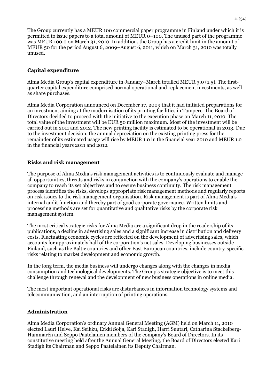The Group currently has a MEUR 100 commercial paper programme in Finland under which it is permitted to issue papers to a total amount of MEUR 0–100. The unused part of the programme was MEUR 100.0 on March 31, 2010. In addition, the Group has a credit limit in the amount of MEUR 50 for the period August 6, 2009–August 6, 2011, which on March 31, 2010 was totally unused.

## **Capital expenditure**

Alma Media Group's capital expenditure in January–March totalled MEUR 3.0 (1.5). The firstquarter capital expenditure comprised normal operational and replacement investments, as well as share purchases.

Alma Media Corporation announced on December 17, 2009 that it had initiated preparations for an investment aiming at the modernisation of its printing facilities in Tampere. The Board of Directors decided to proceed with the initiative to the execution phase on March 11, 2010. The total value of the investment will be EUR 50 million maximum. Most of the investment will be carried out in 2011 and 2012. The new printing facility is estimated to be operational in 2013. Due to the investment decision, the annual depreciation on the existing printing press for the remainder of its estimated usage will rise by MEUR 1.0 in the financial year 2010 and MEUR 1.2 in the financial years 2011 and 2012.

## **Risks and risk management**

The purpose of Alma Media's risk management activities is to continuously evaluate and manage all opportunities, threats and risks in conjunction with the company's operations to enable the company to reach its set objectives and to secure business continuity. The risk management process identifies the risks, develops appropriate risk management methods and regularly reports on risk issues to the risk management organisation. Risk management is part of Alma Media's internal audit function and thereby part of good corporate governance. Written limits and processing methods are set for quantitative and qualitative risks by the corporate risk management system.

The most critical strategic risks for Alma Media are a significant drop in the readership of its publications, a decline in advertising sales and a significant increase in distribution and delivery costs. Fluctuating economic cycles are reflected on the development of advertising sales, which accounts for approximately half of the corporation's net sales. Developing businesses outside Finland, such as the Baltic countries and other East European countries, include country-specific risks relating to market development and economic growth.

In the long term, the media business will undergo changes along with the changes in media consumption and technological developments. The Group's strategic objective is to meet this challenge through renewal and the development of new business operations in online media.

The most important operational risks are disturbances in information technology systems and telecommunication, and an interruption of printing operations.

## **Administration**

Alma Media Corporation's ordinary Annual General Meeting (AGM) held on March 11, 2010 elected Lauri Helve, Kai Seikku, Erkki Solja, Kari Stadigh, Harri Suutari, Catharina Stackelberg-Hammarén and Seppo Paatelainen members of the company's Board of Directors. In its constitutive meeting held after the Annual General Meeting, the Board of Directors elected Kari Stadigh its Chairman and Seppo Paatelainen its Deputy Chairman.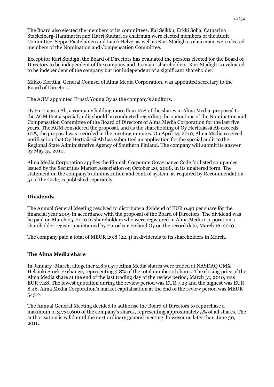The Board also elected the members of its committees. Kai Seikku, Erkki Solja, Catharina Stackelberg-Hammarén and Harri Suutari as chairman were elected members of the Audit Committee. Seppo Paatelainen and Lauri Helve, as well as Kari Stadigh as chairman, were elected members of the Nomination and Compensation Committee.

Except for Kari Stadigh, the Board of Directors has evaluated the persons elected for the Board of Directors to be independent of the company and its major shareholders. Kari Stadigh is evaluated to be independent of the company but not independent of a significant shareholder.

Mikko Korttila, General Counsel of Alma Media Corporation, was appointed secretary to the Board of Directors.

The AGM appointed Ernst&Young Oy as the company's auditors.

Oy Herttaässä Ab, a company holding more than 10% of the shares in Alma Media, proposed to the AGM that a special audit should be conducted regarding the operations of the Nomination and Compensation Committee of the Board of Directors of Alma Media Corporation for the last five years. The AGM considered the proposal, and as the shareholding of Oy Herttaässä Ab exceeds 10%, the proposal was recorded in the meeting minutes. On April 14, 2010, Alma Media received notification that Oy Herttaässä Ab has submitted an application for the special audit to the Regional State Administrative Agency of Southern Finland. The company will submit its answer by May 15, 2010.

Alma Media Corporation applies the Finnish Corporate Governance Code for listed companies, issued by the Securities Market Association on October 20, 2008, in its unaltered form. The statement on the company's administration and control system, as required by Recommendation 51 of the Code, is published separately.

## **Dividends**

The Annual General Meeting resolved to distribute a dividend of EUR 0.40 per share for the financial year 2009 in accordance with the proposal of the Board of Directors. The dividend was be paid on March 25, 2010 to shareholders who were registered in Alma Media Corporation's shareholder register maintained by Euroclear Finland Oy on the record date, March 16, 2010.

The company paid a total of MEUR 29.8 (22.4) in dividends to its shareholders in March.

## **The Alma Media share**

In January–March, altogether 2,849,577 Alma Media shares were traded at NASDAQ OMX Helsinki Stock Exchange, representing 3.8% of the total number of shares. The closing price of the Alma Media share at the end of the last trading day of the review period, March 31, 2010, was EUR 7.28. The lowest quotation during the review period was EUR 7.23 and the highest was EUR 8.46. Alma Media Corporation's market capitalisation at the end of the review period was MEUR 543.2.

The Annual General Meeting decided to authorise the Board of Directors to repurchase a maximum of 3,730,600 of the company's shares, representing approximately 5% of all shares. The authorisation is valid until the next ordinary general meeting, however no later than June 30, 2011.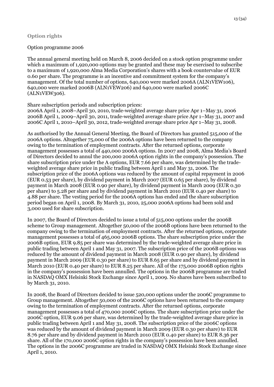## **Option rights**

## Option programme 2006

The annual general meeting held on March 8, 2006 decided on a stock option programme under which a maximum of 1,920,000 options may be granted and these may be exercised to subscribe to a maximum of 1,920,000 Alma Media Corporation's shares with a book countervalue of EUR 0.60 per share. The programme is an incentive and commitment system for the company's management. Of the total number of options, 640,000 were marked 2006A (ALN1VEW106), 640,000 were marked 2006B (ALN1VEW206) and 640,000 were marked 2006C (ALN1VEW306).

## Share subscription periods and subscription prices:

2006A April 1, 2008–April 30, 2010, trade-weighted average share price Apr 1–May 31, 2006 2006B April 1, 2009–April 30, 2011, trade-weighted average share price Apr 1–May 31, 2007 and 2006C April 1, 2010–April 30, 2012, trade-weighted average share price Apr 1–May 31, 2008.

As authorised by the Annual General Meeting, the Board of Directors has granted 515,000 of the 2006A options. Altogether 75,000 of the 2006A options have been returned to the company owing to the termination of employment contracts. After the returned options, corporate management possesses a total of 440,000 2006A options. In 2007 and 2008, Alma Media's Board of Directors decided to annul the 200,000 2006A option rights in the company's possession. The share subscription price under the A options, EUR 7.66 per share, was determined by the tradeweighted average share price in public trading between April 1 and May 31, 2006. The subscription price of the 2006A options was reduced by the amount of capital repayment in 2006 (EUR 0.53 per share), by dividend payment in March 2007 (EUR 0.65 per share), by dividend payment in March 2008 (EUR 0.90 per share), by dividend payment in March 2009 (EUR 0.30 per share) to 5.28 per share and by dividend payment in March 2010 (EUR 0.40 per share) to 4.88 per share. The vesting period for the 2006A options has ended and the share subscription period began on April 1, 2008. By March 31, 2010, 25,000 2006A options had been sold and 3,000 used for share subscription.

In 2007, the Board of Directors decided to issue a total of 515,000 options under the 2006B scheme to Group management. Altogether 50,000 of the 2006B options have been returned to the company owing to the termination of employment contracts. After the returned options, corporate management possesses a total of 465,000 2006B options. The share subscription price under the 2006B option, EUR 9.85 per share was determined by the trade-weighted average share price in public trading between April 1 and May 31, 2007. The subscription price of the 2006B options was reduced by the amount of dividend payment in March 2008 (EUR 0.90 per share), by dividend payment in March 2009 (EUR 0.30 per share) to EUR 8.65 per share and by dividend payment in March 2010 (EUR 0.40 per share) to EUR 8.25 per share. All of the 175,000 2006B option rights in the company's possession have been annulled. The options in the 2006B programme are traded in NASDAQ OMX Helsinki Stock Exchange since April 1, 2009. No shares have been subscribed to by March 31, 2010.

In 2008, the Board of Directors decided to issue 520,000 options under the 2006C programme to Group management. Altogether 50,000 of the 2006C options have been returned to the company owing to the termination of employment contracts. After the returned options, corporate management possesses a total of 470,000 2006C options. The share subscription price under the 2006C option, EUR 9.06 per share, was determined by the trade-weighted average share price in public trading between April 1 and May 31, 2008. The subscription price of the 2006C options was reduced by the amount of dividend payment in March 2009 (EUR 0.30 per share) to EUR 8.76 per share and by dividend payment in March 2010 (EUR 0.40 per share) to EUR 8.36 per share. All of the 170,000 2006C option rights in the company's possession have been annulled. The options in the 2006C programme are traded in NASDAQ OMX Helsinki Stock Exchange since April 1, 2010.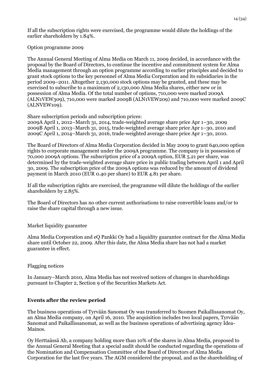If all the subscription rights were exercised, the programme would dilute the holdings of the earlier shareholders by 1.84%.

#### Option programme 2009

The Annual General Meeting of Alma Media on March 11, 2009 decided, in accordance with the proposal by the Board of Directors, to continue the incentive and commitment system for Alma Media management through an option programme according to earlier principles and decided to grant stock options to the key personnel of Alma Media Corporation and its subsidiaries in the period 2009–2011. Altogether 2,130,000 stock options may be granted, and these may be exercised to subscribe to a maximum of 2,130,000 Alma Media shares, either new or in possession of Alma Media. Of the total number of options, 710,000 were marked 2009A (ALN1VEW309), 710,000 were marked 2009B (ALN1VEW209) and 710,000 were marked 2009C (ALNVEW109).

Share subscription periods and subscription prices:

2009A April 1, 2012–March 31, 2014, trade-weighted average share price Apr 1–30, 2009 2009B April 1, 2013–March 31, 2015, trade-weighted average share price Apr 1–30, 2010 and 2009C April 1, 2014–March 31, 2016, trade-weighted average share price Apr 1–30, 2010.

The Board of Directors of Alma Media Corporation decided in May 2009 to grant 640,000 option rights to corporate management under the 2009A programme. The company is in possession of 70,000 2009A options. The subscription price of a 2009A option, EUR 5.21 per share, was determined by the trade-weighted average share price in public trading between April 1 and April 30, 2009. The subscription price of the 2009A options was reduced by the amount of dividend payment in March 2010 (EUR 0.40 per share) to EUR 4.81 per share.

If all the subscription rights are exercised, the programme will dilute the holdings of the earlier shareholders by 2.85%.

The Board of Directors has no other current authorisations to raise convertible loans and/or to raise the share capital through a new issue.

Market liquidity guarantee

Alma Media Corporation and eQ Pankki Oy had a liquidity guarantee contract for the Alma Media share until October 22, 2009. After this date, the Alma Media share has not had a market guarantee in effect.

## Flagging notices

In January–March 2010, Alma Media has not received notices of changes in shareholdings pursuant to Chapter 2, Section 9 of the Securities Markets Act.

## **Events after the review period**

The business operations of Tyrvään Sanomat Oy was transferred to Suomen Paikallissanomat Oy, an Alma Media company, on April 16, 2010. The acquisition includes two local papers, Tyrvään Sanomat and Paikallissanomat, as well as the business operations of advertising agency Idea-Mainos.

Oy Herttaässä Ab, a company holding more than 10% of the shares in Alma Media, proposed to the Annual General Meeting that a special audit should be conducted regarding the operations of the Nomination and Compensation Committee of the Board of Directors of Alma Media Corporation for the last five years. The AGM considered the proposal, and as the shareholding of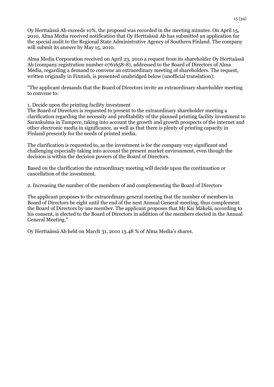Oy Herttaässä Ab exceeds 10%, the proposal was recorded in the meeting minutes. On April 15, 2010, Alma Media received notification that Oy Herttaässä Ab has submitted an application for the special audit to the Regional State Administrative Agency of Southern Finland. The company will submit its answer by May 15, 2010.

Alma Media Corporation received on April 23, 2010 a request from its shareholder Oy Herttaässä Ab (company registration number 0761658-8), addressed to the Board of Directors of Alma Media, regarding a demand to convene an extraordinary meeting of shareholders. The request, written originally in Finnish, is presented unabridged below (unofficial translation):

"The applicant demands that the Board of Directors invite an extraordinary shareholder meeting to convene to:

1. Decide upon the printing facility investment

The Board of Directors is requested to present to the extraordinary shareholder meeting a clarification regarding the necessity and profitability of the planned printing facility investment to Sarankulma in Tampere, taking into account the growth and growth prospects of the internet and other electronic media in significance, as well as that there is plenty of printing capacity in Finland presently for the needs of printed media.

The clarification is requested to, as the investment is for the company very significant and challenging especially taking into account the present market environment, even though the decision is within the decision powers of the Board of Directors.

Based on the clarification the extraordinary meeting will decide upon the continuation or cancellation of the investment.

2. Increasing the number of the members of and complementing the Board of Directors

The applicant proposes to the extraordinary general meeting that the number of members in Board of Directors be eight until the end of the next Annual General meeting, thus complement the Board of Directors by one member. The applicant proposes that Mr Kai Mäkelä, according to his consent, is elected to the Board of Directors in addition of the members elected in the Annual General Meeting."

Oy Herttaässä Ab held on March 31, 2010 13.48 % of Alma Media's shares.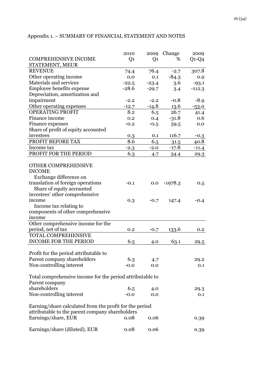|                                                           | 2010           | 2009    | Change    | 2009     |
|-----------------------------------------------------------|----------------|---------|-----------|----------|
| <b>COMPREHENSIVE INCOME</b>                               | Q <sub>1</sub> | Q1      | %         | $Q1-Q4$  |
| STATEMENT, MEUR                                           |                |         |           |          |
| <b>REVENUE</b>                                            | 74.4           | 76.4    | $-2.7$    | 307.8    |
| Other operating income                                    | 0.0            | 0.1     | $-84.3$   | 0.9      |
| Materials and services                                    | $-22.5$        | $-23.4$ | 3.6       | $-93.1$  |
| Employee benefits expense                                 | $-28.6$        | $-29.7$ | 3.4       | $-112.3$ |
| Depreciation, amortization and                            |                |         |           |          |
| impairment                                                | $-2.2$         | $-2.2$  | $-0.8$    | $-8.9$   |
| Other operating expenses                                  | $-12.7$        | $-14.8$ | 13.6      | $-53.0$  |
| <b>OPERATING PROFIT</b>                                   | 8.2            | 6.5     | 26.7      | 41.4     |
| Finance income                                            | 0.2            | 0.4     | $-31.8$   | 0.6      |
| Finance expenses                                          | $-0.2$         | $-0.5$  | 59.5      | 0.0      |
| Share of profit of equity accounted                       |                |         |           |          |
| investees                                                 | 0.3            | 0.1     | 116.7     | $-0.3$   |
| PROFIT BEFORE TAX                                         | 8.6            | 6.5     | 31.5      | 40.8     |
| Income tax                                                | $-2.3$         | $-2.0$  | $-17.8$   | $-11.4$  |
| PROFIT FOR THE PERIOD                                     | 6.3            | 4.7     | 34.4      | 29.3     |
|                                                           |                |         |           |          |
| OTHER COMPREHENSIVE                                       |                |         |           |          |
| <b>INCOME</b>                                             |                |         |           |          |
| Exchange difference on                                    |                |         |           |          |
| translation of foreign operations                         | $-0.1$         | 0.0     | $-1978.3$ | 0.5      |
| Share of equity accounted                                 |                |         |           |          |
| investees' other comprehensive                            |                |         |           |          |
| income                                                    | 0.3            | $-0.7$  | 147.4     | $-0.4$   |
| Income tax relating to                                    |                |         |           |          |
| components of other comprehensive                         |                |         |           |          |
| income                                                    |                |         |           |          |
| Other comprehensive income for the                        |                |         |           |          |
| period, net of tax                                        | 0.2            | $-0.7$  | 133.6     | 0.2      |
| TOTAL COMPREHENSIVE                                       |                |         |           |          |
| <b>INCOME FOR THE PERIOD</b>                              | 6.5            | 4.0     | 63.1      | 29.5     |
|                                                           |                |         |           |          |
| Profit for the period attributable to                     |                |         |           |          |
| Parent company shareholders                               | 6.3            | 4.7     |           | 29.2     |
| Non-controlling interest                                  | $-0.0$         | 0.0     |           | 0.1      |
|                                                           |                |         |           |          |
| Total comprehensive income for the period attributable to |                |         |           |          |
| Parent company                                            |                |         |           |          |
| shareholders                                              | 6.5            | 4.0     |           | 29.3     |
| Non-controlling interest                                  | $-0.0$         | 0.0     |           | 0.1      |
|                                                           |                |         |           |          |
| Earning/share calculated from the profit for the period   |                |         |           |          |
| attributable to the parent company shareholders           |                |         |           |          |
| Earnings/share, EUR                                       | 0.08           | 0.06    |           | 0.39     |
|                                                           |                |         |           |          |
| Earnings/share (diluted), EUR                             | 0.08           | 0.06    |           | 0.39     |

## Appendix 1. – SUMMARY OF FINANCIAL STATEMENT AND NOTES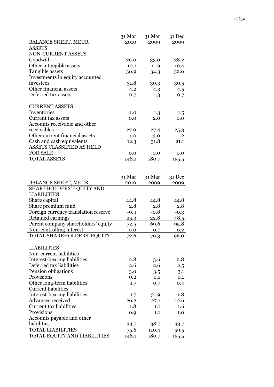|                                                                                     | 31 Mar | 31 Mar | 31 Dec |
|-------------------------------------------------------------------------------------|--------|--------|--------|
| <b>BALANCE SHEET, MEUR</b>                                                          | 2010   | 2009   | 2009   |
| <b>ASSETS</b>                                                                       |        |        |        |
| <b>NON-CURRENT ASSETS</b>                                                           |        |        |        |
| Goodwill                                                                            | 29.0   | 33.0   | 28.2   |
| Other intangible assets                                                             | 10.1   | 11.9   | 10.4   |
| Tangible assets                                                                     | 30.9   | 34.3   | 32.0   |
| Investments in equity accounted                                                     |        |        |        |
| investees                                                                           | 31.8   | 30.3   | 30.5   |
| Other financial assets                                                              | 4.2    | 4.3    | 4.5    |
| Deferred tax assets                                                                 | 0.7    | 1.3    | 0.7    |
| <b>CURRENT ASSETS</b>                                                               |        |        |        |
| Inventories                                                                         | 1.0    | 1.3    | 1.5    |
| <b>Current tax assets</b>                                                           | 0.0    | 2.0    | 0.0    |
| Accounts receivable and other                                                       |        |        |        |
| receivables                                                                         | 27.0   | 27.4   | 25.3   |
| Other current financial assets                                                      | 1.0    | 3.0    | 1.2    |
| Cash and cash equivalents                                                           | 12.3   | 31.8   | 21.1   |
| ASSETS CLASSIFIED AS HELD                                                           |        |        |        |
| <b>FOR SALE</b>                                                                     | 0.0    | 0.0    | 0.0    |
| TOTAL ASSETS                                                                        | 148.1  | 180.7  | 155.5  |
|                                                                                     | 31 Mar | 31 Mar | 31 Dec |
| <b>BALANCE SHEET, MEUR</b>                                                          | 2010   | 2009   | 2009   |
| SHAREHOLDERS' EQUITY AND                                                            |        |        |        |
| <b>LIABILITIES</b>                                                                  |        |        |        |
| Share capital                                                                       | 44.8   | 44.8   | 44.8   |
| Share premium fund                                                                  | 2.8    | 2.8    | 2.8    |
| Foreign currency translation reserve                                                | $-0.4$ | $-0.8$ | $-0.3$ |
| Retained earnings                                                                   | 25.3   | 22.8   | 48.5   |
| Parent company shareholders' equity                                                 | 72.5   | 69.6   | 95.8   |
| Non-controlling interest                                                            | 0.0    | 0.7    | 0.2    |
| TOTAL SHAREHOLDERS' EQUITY                                                          | 72.6   | 70.3   | 96.0   |
| <b>LIABILITIES</b>                                                                  |        |        |        |
| Non-current liabilities                                                             |        |        |        |
| Interest-bearing liabilities                                                        | 2.8    | 3.6    | 2.8    |
| Deferred tax liabilities                                                            | 2.6    | 2.6    | 2.5    |
| Pension obligations                                                                 | 3.0    | 3.5    | 3.1    |
| Provisions                                                                          | 0.2    | 0.1    | 0.1    |
| Other long-term liabilities                                                         | 1.7    | 0.7    | 0.4    |
| <b>Current liabilities</b>                                                          |        |        |        |
| Interest-bearing liabilities                                                        | 1.7    | 31.9   | 1.8    |
| Advances received                                                                   |        | 27.1   | 12.6   |
| <b>Current tax liabilities</b>                                                      | 26.2   |        |        |
|                                                                                     | 1.8    | 1.1    | 1.6    |
|                                                                                     | 0.9    | 1.1    | 1.0    |
|                                                                                     |        |        |        |
|                                                                                     | 34.7   | 38.7   | 33.7   |
| Provisions<br>Accounts payable and other<br>liabilities<br><b>TOTAL LIABILITIES</b> | 75.6   | 110.4  | 59.5   |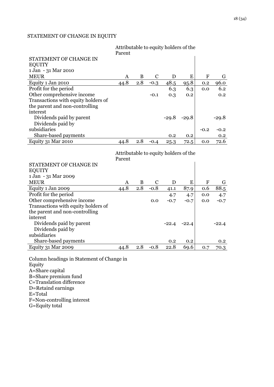## STATEMENT OF CHANGE IN EQUITY

|                                            | Attributable to equity holders of the<br>Parent |          |               |             |             |              |         |
|--------------------------------------------|-------------------------------------------------|----------|---------------|-------------|-------------|--------------|---------|
| STATEMENT OF CHANGE IN                     |                                                 |          |               |             |             |              |         |
| <b>EQUITY</b>                              |                                                 |          |               |             |             |              |         |
| 1 Jan - 31 Mar 2010                        |                                                 |          |               |             |             |              |         |
| <b>MEUR</b>                                | A                                               | B        | $\mathcal{C}$ | D           | E           | $\mathbf{F}$ | G       |
| Equity 1 Jan 2010                          | 44.8                                            | 2.8      | $-0.3$        | 48.5        | 95.8        | 0.2          | 96.0    |
| Profit for the period                      |                                                 |          |               | 6.3         | 6.3         | 0.0          | 6.2     |
| Other comprehensive income                 |                                                 |          | $-0.1$        | 0.3         | 0.2         |              | 0.2     |
| Transactions with equity holders of        |                                                 |          |               |             |             |              |         |
| the parent and non-controlling             |                                                 |          |               |             |             |              |         |
| interest                                   |                                                 |          |               |             |             |              |         |
| Dividends paid by parent                   |                                                 |          |               | $-29.8$     | $-29.8$     |              | $-29.8$ |
| Dividends paid by                          |                                                 |          |               |             |             |              |         |
| subsidiaries                               |                                                 |          |               |             |             | $-0.2$       | $-0.2$  |
| Share-based payments                       |                                                 |          |               | 0.2         | 0.2         |              | 0.2     |
| Equity 31 Mar 2010                         | 44.8                                            | 2.8      | $-0.4$        | 25.3        | 72.5        | 0.0          | 72.6    |
|                                            |                                                 |          |               |             |             |              |         |
|                                            | Attributable to equity holders of the<br>Parent |          |               |             |             |              |         |
| STATEMENT OF CHANGE IN                     |                                                 |          |               |             |             |              |         |
| <b>EQUITY</b>                              |                                                 |          |               |             |             |              |         |
| 1 Jan - 31 Mar 2009                        |                                                 |          |               |             |             |              |         |
| <b>MEUR</b>                                | A                                               | $\bf{B}$ | $\mathbf C$   | D           | E           | ${\bf F}$    | G       |
| Equity 1 Jan 2009                          | 44.8                                            | 2.8      | $-0.8$        | 41.1        | 87.9        | 0.6          | 88.5    |
| Profit for the period                      |                                                 |          |               | 4.7         | 4.7         | 0.0          | 4.7     |
| Other comprehensive income                 |                                                 |          | 0.0           | $-0.7$      | $-0.7$      | 0.0          | $-0.7$  |
| Transactions with equity holders of        |                                                 |          |               |             |             |              |         |
| the parent and non-controlling             |                                                 |          |               |             |             |              |         |
| interest                                   |                                                 |          |               |             |             |              |         |
| Dividends paid by parent                   |                                                 |          |               | $-22.4$     | $-22.4$     |              | $-22.4$ |
| Dividends paid by                          |                                                 |          |               |             |             |              |         |
| subsidiaries                               |                                                 |          |               |             |             |              |         |
| Share-based payments<br>Equity 31 Mar 2009 | 44.8                                            | 2.8      | $-0.8$        | 0.2<br>22.8 | 0.2<br>69.6 |              | 0.2     |

Column headings in Statement of Change in Equity A=Share capital B=Share premium fund C=Translation difference D=Retaind earnings E=Total F=Non-controlling interest G=Equity total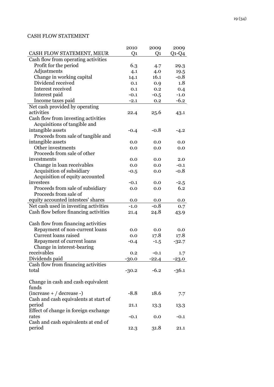## CASH FLOW STATEMENT

|                                               | 2010    | 2009    | 2009    |
|-----------------------------------------------|---------|---------|---------|
| CASH FLOW STATEMENT, MEUR                     | Q1      | Q1      | $Q1-Q4$ |
| Cash flow from operating activities           |         |         |         |
| Profit for the period                         | 6.3     | 4.7     | 29.3    |
| Adjustments                                   | 4.1     | 4.0     | 19.5    |
| Change in working capital                     | 14.1    | 16.1    | $-0.8$  |
| Dividend received                             | 0.1     | 0.9     | 1.8     |
| Interest received                             | 0.1     | 0.2     | 0.4     |
| Interest paid                                 | $-0.1$  | $-0.5$  | $-1.0$  |
| Income taxes paid                             | $-2.1$  | 0.2     | $-6.2$  |
| Net cash provided by operating                |         |         |         |
| activities                                    | 22.4    | 25.6    | 43.1    |
| Cash flow from investing activities           |         |         |         |
| Acquisitions of tangible and                  |         |         |         |
| intangible assets                             | $-0.4$  | $-0.8$  | $-4.2$  |
| Proceeds from sale of tangible and            |         |         |         |
| intangible assets                             | 0.0     | 0.0     | 0.0     |
| Other investments                             | 0.0     | 0.0     | 0.0     |
| Proceeds from sale of other                   |         |         |         |
| investments                                   | 0.0     | 0.0     | 2.0     |
| Change in loan receivables                    | 0.0     | 0.0     | $-0.1$  |
| Acquisition of subsidiary                     | $-0.5$  | 0.0     | $-0.8$  |
| Acquisition of equity accounted               |         |         |         |
| investees                                     | -0.1    | 0.0     | $-2.5$  |
| Proceeds from sale of subsidiary              | 0.0     | 0.0     | 6.2     |
| Proceeds from sale of                         |         |         |         |
| equity accounted intestees' shares            | 0.0     | 0.0     | 0.0     |
| Net cash used in investing activities         | $-1.0$  | $-0.8$  | 0.7     |
| Cash flow before financing activities         | 21.4    | 24.8    | 43.9    |
|                                               |         |         |         |
| Cash flow from financing activities           |         |         |         |
| Repayment of non-current loans                | 0.0     | 0.0     | 0.0     |
| Current loans raised                          | 0.0     | 17.8    | 17.8    |
| Repayment of current loans                    | $-0.4$  | $-1.5$  | $-32.7$ |
| Change in interest-bearing                    |         |         |         |
| receivables                                   | 0.2     | $-0.1$  | 1.7     |
| Dividends paid                                | $-30.0$ | $-22.4$ | $-23.0$ |
| Cash flow from financing activities           |         |         |         |
| total                                         | $-30.2$ | $-6.2$  | $-36.1$ |
|                                               |         |         |         |
| Change in cash and cash equivalent            |         |         |         |
| funds                                         |         |         |         |
| $(increase + / decrease -)$                   | $-8.8$  | 18.6    | 7.7     |
| Cash and cash equivalents at start of         |         |         |         |
| period                                        | 21.1    | 13.3    | 13.3    |
| Effect of change in foreign exchange          |         |         |         |
| rates                                         | $-0.1$  | 0.0     | $-0.1$  |
| Cash and cash equivalents at end of<br>period |         | 31.8    | 21.1    |
|                                               | 12.3    |         |         |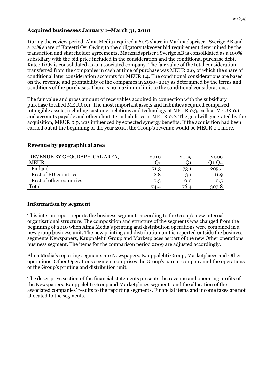## **Acquired businesses January 1–March 31, 2010**

During the review period, Alma Media acquired a 60% share in Marknadspriser i Sverige AB and a 24% share of Kateetti Oy. Owing to the obligatory takeover bid requirement determined by the transaction and shareholder agreements, Marknadspriser i Sverige AB is consolidated as a 100% subsidiary with the bid price included in the consideration and the conditional purchase debt. Kateetti Oy is consolidated as an associated company. The fair value of the total consideration transferred from the companies in cash at time of purchase was MEUR 2.0, of which the share of conditional later consideration accounts for MEUR 1.4. The conditional considerations are based on the revenue and profitability of the companies in 2010–2013 as determined by the terms and conditions of the purchases. There is no maximum limit to the conditional considerations.

The fair value and gross amount of receivables acquired in connection with the subsidiary purchase totalled MEUR 0.1. The most important assets and liabilities acquired comprised intangible assets, including customer relations and technology at MEUR 0.3, cash at MEUR 0.1, and accounts payable and other short-term liabilities at MEUR 0.2. The goodwill generated by the acquisition, MEUR 0.9, was influenced by expected synergy benefits. If the acquisition had been carried out at the beginning of the year 2010, the Group's revenue would be MEUR 0.1 more.

| REVENUE BY GEOGRAPHICAL AREA, | 2010 | 2009 | 2009  |
|-------------------------------|------|------|-------|
| <b>MEUR</b>                   |      |      | 01-04 |
| Finland                       | 71.3 | 73.1 | 295.4 |
| Rest of EU countries          | 2.8  | 3.1  | 11.9  |
| Rest of other countries       | 0.3  | 0.2  | 0.5   |
| Total                         | 74.4 | 76.4 | 307.8 |

#### **Revenue by geographical area**

## **Information by segment**

This interim report reports the business segments according to the Group's new internal organisational structure. The composition and structure of the segments was changed from the beginning of 2010 when Alma Media's printing and distribution operations were combined in a new group business unit. The new printing and distribution unit is reported outside the business segments Newspapers, Kauppalehti Group and Marketplaces as part of the new Other operations business segment. The items for the comparison period 2009 are adjusted accordingly.

Alma Media's reporting segments are Newspapers, Kauppalehti Group, Marketplaces and Other operations. Other Operations segment comprises the Group's parent company and the operations of the Group's printing and distribution unit.

The descriptive section of the financial statements presents the revenue and operating profits of the Newspapers, Kauppalehti Group and Marketplaces segments and the allocation of the associated companies' results to the reporting segments. Financial items and income taxes are not allocated to the segments.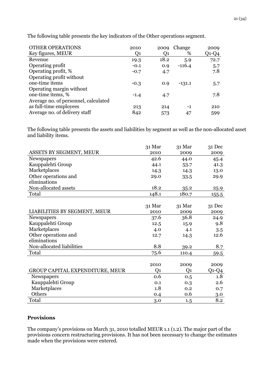| <b>OTHER OPERATIONS</b>              | 2010           | 2009 | Change   | 2009  |
|--------------------------------------|----------------|------|----------|-------|
| Key figures, MEUR                    | Q <sub>1</sub> | Q1   | %        | Q1-Q4 |
| Revenue                              | 19.3           | 18.2 | 5.9      | 72.7  |
| Operating profit                     | $-0.1$         | 0.9  | $-116.4$ | 5.7   |
| Operating profit, %                  | $-0.7$         | 4.7  |          | 7.8   |
| Operating profit without             |                |      |          |       |
| one-time items                       | $-0.3$         | 0.9  | $-131.1$ | 5.7   |
| Operating margin without             |                |      |          |       |
| one-time items, %                    | $-1.4$         | 4.7  |          | 7.8   |
| Average no. of personnel, calculated |                |      |          |       |
| as full-time employees               | 213            | 214  | -1       | 210   |
| Average no. of delivery staff        | 842            | 573  | 47       | 599   |

The following table presents the key indicators of the Other operations segment.

The following table presents the assets and liabilities by segment as well as the non-allocated asset and liability items.

|                                 | 31 Mar | 31 Mar | 31 Dec  |
|---------------------------------|--------|--------|---------|
| ASSETS BY SEGMENT, MEUR         | 2010   | 2009   | 2009    |
| Newspapers                      | 42.6   | 44.0   | 45.4    |
| Kauppalehti Group               | 44.1   | 53.7   | 41.3    |
| Marketplaces                    | 14.3   | 14.3   | 13.0    |
| Other operations and            | 29.0   | 33.5   | 29.9    |
| eliminations                    |        |        |         |
| Non-allocated assets            | 18.2   | 35.2   | 25.9    |
| Total                           | 148.1  | 180.7  | 155.5   |
|                                 |        |        |         |
|                                 | 31 Mar | 31 Mar | 31 Dec  |
| LIABILITIES BY SEGMENT, MEUR    | 2010   | 2009   | 2009    |
| Newspapers                      | 37.6   | 36.8   | 24.9    |
| Kauppalehti Group               | 12.5   | 15.9   | 9.8     |
| Marketplaces                    | 4.0    | 4.1    | 3.5     |
| Other operations and            | 12.7   | 14.3   | 12.6    |
| eliminations                    |        |        |         |
| Non-allocated liabilities       | 8.8    | 39.2   | 8.7     |
| Total                           | 75.6   | 110.4  | 59.5    |
|                                 |        |        |         |
|                                 | 2010   | 2009   | 2009    |
| GROUP CAPITAL EXPENDITURE, MEUR | Q1     | Q1     | $Q1-Q4$ |
| Newspapers                      | 0.6    | 0.5    | 1.8     |
| Kauppalehti Group               | 0.1    | 0.3    | 2.6     |
| Marketplaces                    | 1.8    | 0.2    | 0.7     |
| Others                          | 0.4    | 0.6    | 3.0     |
| Total                           | 3.0    | 1.5    | 8.2     |

#### **Provisions**

The company's provisions on March 31, 2010 totalled MEUR 1.1 (1.2). The major part of the provisions concern restructuring provisions. It has not been necessary to change the estimates made when the provisions were entered.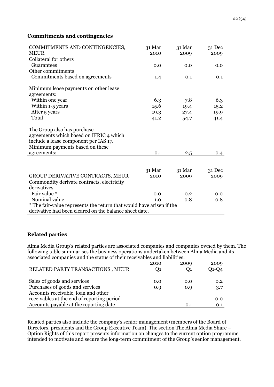## **Commitments and contingencies**

| COMMITMENTS AND CONTINGENCIES,<br><b>MEUR</b>                        | 31 Mar<br>2010 | 31 Mar<br>2009 | 31 Dec<br>2009 |  |  |  |  |
|----------------------------------------------------------------------|----------------|----------------|----------------|--|--|--|--|
| Collateral for others                                                |                |                |                |  |  |  |  |
| Guarantees                                                           | 0.0            | 0.0            | 0.0            |  |  |  |  |
| Other commitments                                                    |                |                |                |  |  |  |  |
| Commitments based on agreements                                      | 1.4            | 0.1            | 0.1            |  |  |  |  |
| Minimum lease payments on other lease                                |                |                |                |  |  |  |  |
| agreements:                                                          |                |                |                |  |  |  |  |
| Within one year                                                      | 6.3            | 7.8            | 6.3            |  |  |  |  |
| Within 1-5 years                                                     | 15.6           | 19.4           | 15.2           |  |  |  |  |
| After 5 years                                                        | 19.3           | 27.4           | 19.9           |  |  |  |  |
| Total                                                                | 41.2           | 54.7           | 41.4           |  |  |  |  |
|                                                                      |                |                |                |  |  |  |  |
| The Group also has purchase                                          |                |                |                |  |  |  |  |
| agreements which based on IFRIC 4 which                              |                |                |                |  |  |  |  |
| include a lease component per IAS 17.                                |                |                |                |  |  |  |  |
| Minimum payments based on these                                      |                |                |                |  |  |  |  |
| agreements:                                                          | 0.1            | 2.5            | 0.4            |  |  |  |  |
|                                                                      |                |                |                |  |  |  |  |
|                                                                      | 31 Mar         | 31 Mar         | $31$ Dec       |  |  |  |  |
| GROUP DERIVATIVE CONTRACTS, MEUR                                     | 2010           | 2009           | 2009           |  |  |  |  |
| Commondity derivate contracts, electricity                           |                |                |                |  |  |  |  |
| derivatives                                                          |                |                |                |  |  |  |  |
| Fair value *                                                         | $-0.0$         | $-0.2$         | $-0.0$         |  |  |  |  |
| Nominal value                                                        | 1.0            | 0.8            | 0.8            |  |  |  |  |
| * The fair-value represents the return that would have arisen if the |                |                |                |  |  |  |  |
| derivative had been cleared on the balance sheet date.               |                |                |                |  |  |  |  |

#### **Related parties**

Alma Media Group's related parties are associated companies and companies owned by them. The following table summarises the business operations undertaken between Alma Media and its associated companies and the status of their receivables and liabilities:

|                                            | 2010 | 2009 | 2009  |
|--------------------------------------------|------|------|-------|
| RELATED PARTY TRANSACTIONS, MEUR           |      |      | 01-04 |
|                                            |      |      |       |
| Sales of goods and services                | 0.0  | 0.0  | 0.2   |
| Purchases of goods and services            | 0.9  | 0.9  | 3.7   |
| Accounts receivable, loan and other        |      |      |       |
| receivables at the end of reporting period |      |      | 0.0   |
| Accounts payable at the reporting date     |      | 0.1  | 0.1   |

Related parties also include the company's senior management (members of the Board of Directors, presidents and the Group Executive Team). The section The Alma Media Share – Option Rights of this report presents information on changes to the current option programme intended to motivate and secure the long-term commitment of the Group's senior management.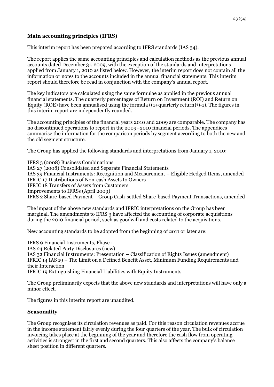## **Main accounting principles (IFRS)**

This interim report has been prepared according to IFRS standards (IAS 34).

The report applies the same accounting principles and calculation methods as the previous annual accounts dated December 31, 2009, with the exception of the standards and interpretations applied from January 1, 2010 as listed below. However, the interim report does not contain all the information or notes to the accounts included in the annual financial statements. This interim report should therefore be read in conjunction with the company's annual report.

The key indicators are calculated using the same formulae as applied in the previous annual financial statements. The quarterly percentages of Return on Investment (ROI) and Return on Equity (ROE) have been annualised using the formula  $((1+quarterly return)^4)$ -1). The figures in this interim report are independently rounded.

The accounting principles of the financial years 2010 and 2009 are comparable. The company has no discontinued operations to report in the 2009–2010 financial periods. The appendices summarise the information for the comparison periods by segment according to both the new and the old segment structure.

The Group has applied the following standards and interpretations from January 1, 2010:

IFRS 3 (2008) Business Combinations IAS 27 (2008) Consolidated and Separate Financial Statements IAS 39 Financial Instruments: Recognition and Measurement – Eligible Hedged Items, amended IFRIC 17 Distributions of Non-cash Assets to Owners IFRIC 18 Transfers of Assets from Customers Improvements to IFRSs (April 2009) IFRS 2 Share-based Payment – Group Cash-settled Share-based Payment Transactions, amended

The impact of the above new standards and IFRIC interpretations on the Group has been marginal. The amendments to IFRS 3 have affected the accounting of corporate acquisitions during the 2010 financial period, such as goodwill and costs related to the acquisitions.

New accounting standards to be adopted from the beginning of 2011 or later are:

IFRS 9 Financial Instruments, Phase 1 IAS 24 Related Party Disclosures (new) IAS 32 Financial Instruments: Presentation – Classification of Rights Issues (amendment) IFRIC 14 IAS 19 – The Limit on a Defined Benefit Asset, Minimum Funding Requirements and their Interaction IFRIC 19 Extinguishing Financial Liabilities with Equity Instruments

The Group preliminarily expects that the above new standards and interpretations will have only a

The figures in this interim report are unaudited.

## **Seasonality**

minor effect.

The Group recognises its circulation revenues as paid. For this reason circulation revenues accrue in the income statement fairly evenly during the four quarters of the year. The bulk of circulation invoicing takes place at the beginning of the year and therefore the cash flow from operating activities is strongest in the first and second quarters. This also affects the company's balance sheet position in different quarters.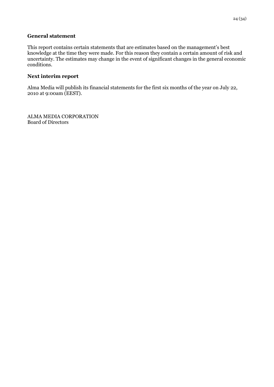#### **General statement**

This report contains certain statements that are estimates based on the management's best knowledge at the time they were made. For this reason they contain a certain amount of risk and uncertainty. The estimates may change in the event of significant changes in the general economic conditions.

## **Next interim report**

Alma Media will publish its financial statements for the first six months of the year on July 22, 2010 at 9:00am (EEST).

ALMA MEDIA CORPORATION Board of Directors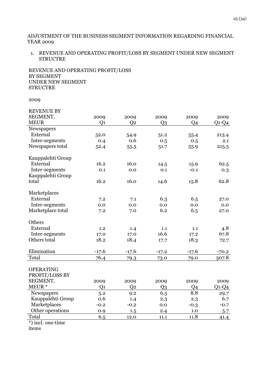#### ADJUSTMENT OF THE BUSINESS SEGMENT INFORMATION REGARDING FINANCIAL YEAR 2009

1. REVENUE AND OPERATING PROFIT/LOSS BY SEGMENT UNDER NEW SEGMENT **STRUCTRE** 

REVENUE AND OPERATING PROFIT/LOSS BY SEGMENT UNDER NEW SEGMENT **STRUCTRE** 

2009

| <b>REVENUE BY</b>                  |                |                |                |         |         |
|------------------------------------|----------------|----------------|----------------|---------|---------|
| SEGMENT,                           | 2009           | 2009           | 2009           | 2009    | 2009    |
| <b>MEUR</b>                        | Q <sub>1</sub> | Q <sub>2</sub> | $Q_3$          | Q4      | $Q1-Q4$ |
| Newspapers                         |                |                |                |         |         |
| External                           | 52.0           | 54.9           | 51.2           | 55.4    | 213.4   |
| Inter-segments                     | 0.4            | 0.6            | 0.5            | 0.5     | 2.1     |
| Newspapers total                   | 52.4           | 55.5           | 51.7           | 55.9    | 215.5   |
| Kauppalehti Group                  |                |                |                |         |         |
| External                           | 16.2           | 16.0           | 14.5           | 15.9    | 62.5    |
| Inter-segments                     | 0.1            | 0.0            | 0.1            | $-0.1$  | 0.3     |
| Kauppalehti Group                  |                |                |                |         |         |
| total                              | 16.2           | 16.0           | 14.6           | 15.8    | 62.8    |
| Marketplaces                       |                |                |                |         |         |
| External                           | 7.2            | 7.1            | 6.3            | 6.5     | 27.0    |
| Inter-segments                     | 0.0            | 0.0            | 0.0            | 0.0     | 0.0     |
| Marketplace total                  | 7.2            | 7.0            | 6.2            | 6.5     | 27.0    |
| Others                             |                |                |                |         |         |
| External                           | 1.2            | 1.4            | 1.1            | 1.1     | 4.8     |
| Inter-segments                     | 17.0           | 17.0           | 16.6           | 17.2    | 67.8    |
| Others total                       | 18.2           | 18.4           | 17.7           | 18.3    | 72.7    |
| Elimination                        | $-17.6$        | $-17.6$        | $-17.2$        | $-17.6$ | $-70.2$ |
| Total                              | 76.4           | 79.3           | 73.0           | 79.0    | 307.8   |
| <b>OPERATING</b><br>PROFIT/LOSS BY |                |                |                |         |         |
| SEGMENT,                           | 2009           | 2009           | 2009           | 2009    | 2009    |
| MEUR*                              | Q <sub>1</sub> | Q <sub>2</sub> | Q <sub>3</sub> | Q4      | $Q1-Q4$ |
| Newspapers                         | 5.2            | 9.2            | 6.5            | 8.8     | 29.7    |
| Kauppalehti Group                  | 0.6            | 1.4            | 2.3            | 2.3     | 6.7     |
| Marketplaces                       | $-0.2$         | $-0.2$         | 0.0            | $-0.3$  | $-0.7$  |
| Other operations                   | 0.9            | 1.5            | 2.4            | 1.0     | 5.7     |
| Total                              | 6.5            | 12.0           | 11.1           | 11.8    | 41.4    |
| *) incl. one-time                  |                |                |                |         |         |

items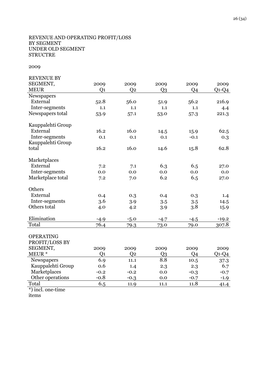#### REVENUE AND OPERATING PROFIT/LOSS BY SEGMENT UNDER OLD SEGMENT **STRUCTRE**

## 2009

| <b>REVENUE BY</b> |                |                |                |                |         |
|-------------------|----------------|----------------|----------------|----------------|---------|
| SEGMENT,          | 2009           | 2009           | 2009           | 2009           | 2009    |
| <b>MEUR</b>       | Q <sub>1</sub> | Q <sub>2</sub> | Q <sub>3</sub> | Q4             | $Q1-Q4$ |
| Newspapers        |                |                |                |                |         |
| External          | 52.8           | 56.0           | 51.9           | 56.2           | 216.9   |
| Inter-segments    | 1.1            | 1.1            | 1.1            | 1.1            | 4.4     |
| Newspapers total  | 53.9           | 57.1           | 53.0           | 57.3           | 221.3   |
| Kauppalehti Group |                |                |                |                |         |
| External          | 16.2           | 16.0           | 14.5           | 15.9           | 62.5    |
| Inter-segments    | 0.1            | 0.1            | 0.1            | $-0.1$         | 0.3     |
| Kauppalehti Group |                |                |                |                |         |
| total             | 16.2           | 16.0           | 14.6           | 15.8           | 62.8    |
| Marketplaces      |                |                |                |                |         |
| External          | 7.2            | 7.1            | 6.3            | 6.5            | 27.0    |
| Inter-segments    | 0.0            | 0.0            | 0.0            | 0.0            | 0.0     |
| Marketplace total | 7.2            | 7.0            | 6.2            | 6.5            | 27.0    |
| Others            |                |                |                |                |         |
| External          | 0.4            | 0.3            | 0.4            | 0.3            | 1.4     |
| Inter-segments    | 3.6            | 3.9            | 3.5            | 3.5            | 14.5    |
| Others total      | 4.0            | 4.2            | 3.9            | 3.8            | 15.9    |
| Elimination       | $-4.9$         | $-5.0$         | $-4.7$         | $-4.5$         | $-19.2$ |
| Total             | 76.4           | 79.3           | 73.0           | 79.0           | 307.8   |
|                   |                |                |                |                |         |
| <b>OPERATING</b>  |                |                |                |                |         |
| PROFIT/LOSS BY    |                |                |                |                |         |
| SEGMENT,          | 2009           | 2009           | 2009           | 2009           | 2009    |
| MEUR *            | Q <sub>1</sub> | Q <sub>2</sub> | Q <sub>3</sub> | Q <sub>4</sub> | $Q1-Q4$ |
| Newspapers        | 6.9            | 11.1           | 8.8            | 10.5           | 37.3    |
| Kauppalehti Group | 0.6            | 1.4            | 2.3            | 2.3            | 6.7     |
| Marketplaces      | $-0.2$         | $-0.2$         | 0.0            | $-0.3$         | $-0.7$  |
| Other operations  | $-0.8$         | $-0.3$         | 0.0            | $-0.7$         | $-1.9$  |
| Total             | 6.5            | 11.9           | 11.1           | 11.8           | 41.4    |
|                   |                |                |                |                |         |

\*) incl. one-time

items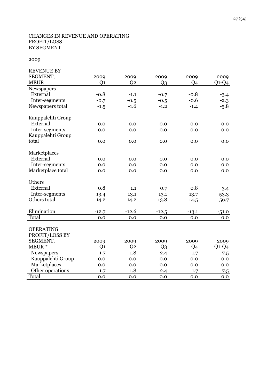## CHANGES IN REVENUE AND OPERATING PROFIT/LOSS BY SEGMENT

| <b>REVENUE BY</b>               |                        |                        |                        |            |                 |
|---------------------------------|------------------------|------------------------|------------------------|------------|-----------------|
| SEGMENT,                        | 2009                   | 2009                   | 2009                   | 2009       | 2009            |
| <b>MEUR</b>                     | Q <sub>1</sub>         | Q <sub>2</sub>         | Q <sub>3</sub>         | Q4         | $Q1-Q4$         |
| Newspapers                      |                        |                        |                        |            |                 |
| External                        | $-0.8$                 | $-1.1$                 | $-0.7$                 | $-0.8$     | $-3.4$          |
| Inter-segments                  | $-0.7$                 | $-0.5$                 | $-0.5$                 | $-0.6$     | $-2.3$          |
| Newspapers total                | $-1.5$                 | $-1.6$                 | $-1.2$                 | $-1.4$     | $-5.8$          |
| Kauppalehti Group               |                        |                        |                        |            |                 |
| External                        | 0.0                    | 0.0                    | 0.0                    | 0.0        | 0.0             |
| Inter-segments                  | 0.0                    | 0.0                    | 0.0                    | 0.0        | 0.0             |
| Kauppalehti Group               |                        |                        |                        |            |                 |
| total                           | 0.0                    | 0.0                    | 0.0                    | 0.0        | 0.0             |
| Marketplaces                    |                        |                        |                        |            |                 |
| External                        | 0.0                    | 0.0                    | 0.0                    | 0.0        | 0.0             |
| Inter-segments                  | 0.0                    | 0.0                    | 0.0                    | 0.0        | 0.0             |
| Marketplace total               | 0.0                    | 0.0                    | 0.0                    | 0.0        | 0.0             |
| Others                          |                        |                        |                        |            |                 |
| External                        | 0.8                    | 1.1                    | 0.7                    | 0.8        | 3.4             |
| Inter-segments                  | 13.4                   | 13.1                   | 13.1                   | 13.7       | 53.3            |
| Others total                    | 14.2                   | 14.2                   | 13.8                   | 14.5       | 56.7            |
| Elimination                     | $-12.7$                | $-12.6$                | $-12.5$                | $-13.1$    | $-51.0$         |
| Total                           | 0.0                    | 0.0                    | 0.0                    | $0.0\,$    | 0.0             |
|                                 |                        |                        |                        |            |                 |
| <b>OPERATING</b>                |                        |                        |                        |            |                 |
| PROFIT/LOSS BY<br>SEGMENT,      |                        |                        |                        |            |                 |
| MEUR*                           | 2009<br>Q <sub>1</sub> | 2009<br>Q <sub>2</sub> | 2009<br>Q <sub>3</sub> | 2009<br>Q4 | 2009<br>$Q1-Q4$ |
|                                 |                        | $-1.8$                 |                        |            |                 |
| Newspapers<br>Kauppalehti Group | $-1.7$                 | 0.0                    | $-2.4$<br>0.0          | $-1.7$     | $-7.5$          |
| Marketplaces                    | 0.0<br>0.0             | 0.0                    | 0.0                    | 0.0<br>0.0 | 0.0<br>0.0      |
| Other operations                | 1.7                    | 1.8                    | 2.4                    | 1.7        |                 |
| Total                           | 0.0                    | 0.0                    | 0.0                    | 0.0        | 7.5<br>0.0      |
|                                 |                        |                        |                        |            |                 |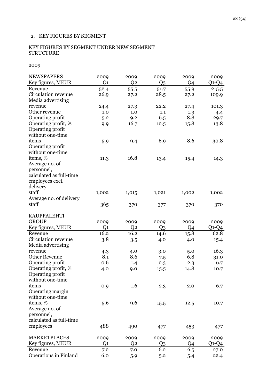## 2. KEY FIGURES BY SEGMENT

## KEY FIGURES BY SEGMENT UNDER NEW SEGMENT **STRUCTURE**

| <b>NEWSPAPERS</b>       | 2009           | 2009           | 2009           | 2009  | 2009    |
|-------------------------|----------------|----------------|----------------|-------|---------|
| Key figures, MEUR       | Q <sub>1</sub> | Q <sub>2</sub> | Q <sub>3</sub> | Q4    | $Q1-Q4$ |
| Revenue                 | 52.4           | 55.5           | 51.7           | 55.9  | 215.5   |
| Circulation revenue     | 26.9           | 27.2           | 28.5           | 27.2  | 109.9   |
| Media advertising       |                |                |                |       |         |
| revenue                 | 24.4           | 27.3           | 22.2           | 27.4  | 101.3   |
| Other revenue           | 1.0            | 1.0            | 1.1            | 1.3   | 4.4     |
| Operating profit        | 5.2            | 9.2            | 6.5            | 8.8   | 29.7    |
| Operating profit, %     | 9.9            | 16.7           | 12.5           | 15.8  | 13.8    |
| Operating profit        |                |                |                |       |         |
| without one-time        |                |                |                |       |         |
| items                   | 5.9            | 9.4            | 6.9            | 8.6   | 30.8    |
| Operating profit        |                |                |                |       |         |
| without one-time        |                |                |                |       |         |
| items, %                | 11.3           | 16.8           | 13.4           | 15.4  | 14.3    |
| Average no. of          |                |                |                |       |         |
| personnel,              |                |                |                |       |         |
| calculated as full-time |                |                |                |       |         |
| employees excl.         |                |                |                |       |         |
| delivery                |                |                |                |       |         |
| staff                   | 1,002          | 1,015          | 1,021          | 1,002 | 1,002   |
| Average no. of delivery |                |                |                |       |         |
| staff                   | 365            | 370            | 377            | 370   | 370     |
|                         |                |                |                |       |         |
| <b>KAUPPALEHTI</b>      |                |                |                |       |         |
| <b>GROUP</b>            | 2009           | 2009           | 2009           | 2009  | 2009    |
| Key figures, MEUR       | Q <sub>1</sub> | Q <sub>2</sub> | Q3             | Q4    | $Q1-Q4$ |
| Revenue                 | 16.2           | 16.2           | 14.6           | 15.8  | 62.8    |
| Circulation revenue     | 3.8            | 3.5            | 4.0            | 4.0   | 15.4    |
| Media advertising       |                |                |                |       |         |
| revenue                 | 4.3            | 4.0            | 3.0            | 5.0   | 16.3    |
| <b>Other Revenue</b>    | 8.1            | 8.6            | 7.5            | 6.8   | 31.0    |
| Operating profit        | 0.6            | 1.4            | 2.3            | 2.3   | 6.7     |
| Operating profit, %     | 4.0            | 9.0            | 15.5           | 14.8  | 10.7    |
| Operating profit        |                |                |                |       |         |
| without one-time        |                |                |                |       |         |
| items                   | 0.9            | 1.6            | 2.3            | 2.0   | 6.7     |
| Operating margin        |                |                |                |       |         |
| without one-time        |                |                |                |       |         |
| items, %                | 5.6            | 9.6            | 15.5           | 12.5  | 10.7    |
| Average no. of          |                |                |                |       |         |
| personnel,              |                |                |                |       |         |
| calculated as full-time |                |                |                |       |         |
| employees               | 488            | 490            | 477            | 453   | 477     |
|                         |                |                |                |       |         |
| <b>MARKETPLACES</b>     | 2009           | 2009           | 2009           | 2009  | 2009    |
| Key figures, MEUR       | Q <sub>1</sub> | Q <sub>2</sub> | Q3             | Q4    | $Q1-Q4$ |
| Revenue                 | 7.2            | 7.0            | 6.2            | 6.5   | 27.0    |
| Operations in Finland   | 6.0            | 5.9            | 5.2            | 5.4   | 22.4    |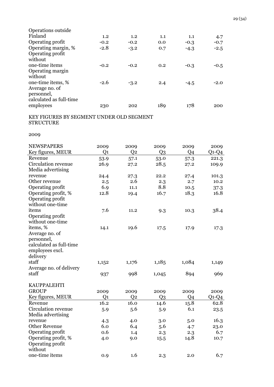| 1.2    | 1.2    | 1.1 | 1.1    | 4.7    |
|--------|--------|-----|--------|--------|
| $-0.2$ | $-0.2$ | 0.0 | $-0.3$ | $-0.7$ |
| $-2.8$ | $-3.2$ | 0.7 | $-4.3$ | $-2.5$ |
|        |        |     |        |        |
|        |        |     |        |        |
| $-0.2$ | $-0.2$ | 0.2 | $-0.3$ | $-0.5$ |
|        |        |     |        |        |
|        |        |     |        |        |
| $-2.6$ | $-3.2$ | 2.4 | $-4.5$ | $-2.0$ |
|        |        |     |        |        |
|        |        |     |        |        |
|        |        |     |        |        |
| 230    | 202    | 189 | 178    | 200    |
|        |        |     |        |        |

KEY FIGURES BY SEGMENT UNDER OLD SEGMENT **STRUCTURE** 

| <b>NEWSPAPERS</b>       | 2009  | 2009           | 2009           | 2009           | 2009         |
|-------------------------|-------|----------------|----------------|----------------|--------------|
| Key figures, MEUR       | Q1    | Q <sub>2</sub> | Q <sub>3</sub> | Q4             | $Q$ 1- $Q$ 4 |
| Revenue                 | 53.9  | 57.1           | 53.0           | 57.3           | 221.3        |
| Circulation revenue     | 26.9  | 27.2           | 28.5           | 27.2           | 109.9        |
| Media advertising       |       |                |                |                |              |
| revenue                 | 24.4  | 27.3           | 22.2           | 27.4           | 101.3        |
| Other revenue           | 2.5   | 2.6            | 2.3            | 2.7            | 10.2         |
| Operating profit        | 6.9   | 11.1           | 8.8            | 10.5           | 37.3         |
| Operating profit, %     | 12.8  | 19.4           | 16.7           | 18.3           | 16.8         |
| Operating profit        |       |                |                |                |              |
| without one-time        |       |                |                |                |              |
| items                   | 7.6   | 11.2           | 9.3            | 10.3           | 38.4         |
| Operating profit        |       |                |                |                |              |
| without one-time        |       |                |                |                |              |
| items, %                | 14.1  | 19.6           | 17.5           | 17.9           | 17.3         |
| Average no. of          |       |                |                |                |              |
| personnel,              |       |                |                |                |              |
| calculated as full-time |       |                |                |                |              |
| employees excl.         |       |                |                |                |              |
| delivery                |       |                |                |                |              |
| staff                   | 1,152 | 1,176          | 1,185          | 1,084          | 1,149        |
| Average no. of delivery |       |                |                |                |              |
| staff                   | 937   | 998            | 1,045          | 894            | 969          |
| <b>KAUPPALEHTI</b>      |       |                |                |                |              |
| <b>GROUP</b>            | 2009  | 2009           | 2009           | 2009           | 2009         |
| Key figures, MEUR       | Q1    | Q <sub>2</sub> | Q <sub>3</sub> | Q <sub>4</sub> | $Q1-Q4$      |
| Revenue                 | 16.2  | 16.0           | 14.6           | 15.8           | 62.8         |
| Circulation revenue     | 5.9   | 5.6            | 5.9            | 6.1            | 23.5         |
| Media advertising       |       |                |                |                |              |
| revenue                 | 4.3   | 4.0            | 3.0            | 5.0            | 16.3         |
| <b>Other Revenue</b>    | 6.0   | 6.4            | 5.6            | 4.7            | 23.0         |
| Operating profit        | 0.6   | 1.4            | 2.3            | 2.3            | 6.7          |
| Operating profit, %     | 4.0   | 9.0            | 15.5           | 14.8           | 10.7         |
| Operating profit        |       |                |                |                |              |
| without                 |       |                |                |                |              |
| one-time items          | 0.9   | 1.6            | 2.3            | 2.0            | 6.7          |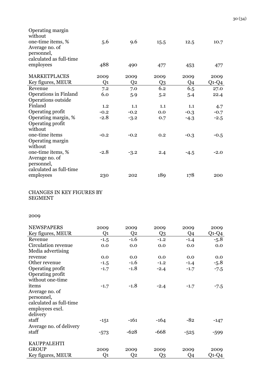| Operating margin<br>without |        |        |                |        |        |
|-----------------------------|--------|--------|----------------|--------|--------|
| one-time items, %           | 5.6    | 9.6    | 15.5           | 12.5   | 10.7   |
| Average no. of              |        |        |                |        |        |
| personnel,                  |        |        |                |        |        |
| calculated as full-time     |        |        |                |        |        |
| employees                   | 488    | 490    | 477            | 453    | 477    |
| <b>MARKETPLACES</b>         | 2009   | 2009   | 2009           | 2009   | 2009   |
| Key figures, MEUR           | Q1     | Q2     | Q <sub>3</sub> | Q4     | Q1-Q4  |
| Revenue                     | 7.2    | 7.0    | 6.2            | 6.5    | 27.0   |
| Operations in Finland       | 6.0    | 5.9    | 5.2            | 5.4    | 22.4   |
| Operations outside          |        |        |                |        |        |
| Finland                     | 1.2    | 1.1    | 1.1            | 1.1    | 4.7    |
| Operating profit            | $-0.2$ | $-0.2$ | 0.0            | $-0.3$ | $-0.7$ |
| Operating margin, %         | $-2.8$ | $-3.2$ | 0.7            | $-4.3$ | $-2.5$ |
| Operating profit            |        |        |                |        |        |
| without                     |        |        |                |        |        |
| one-time items              | $-0.2$ | $-0.2$ | 0.2            | $-0.3$ | $-0.5$ |
| Operating margin            |        |        |                |        |        |
| without                     |        |        |                |        |        |
| one-time items, %           | $-2.8$ | $-3.2$ | 2.4            | $-4.5$ | $-2.0$ |
| Average no. of              |        |        |                |        |        |
| personnel,                  |        |        |                |        |        |
| calculated as full-time     |        |        |                |        |        |
| employees                   | 230    | 202    | 189            | 178    | 200    |

## CHANGES IN KEY FIGURES BY SEGMENT

| <b>NEWSPAPERS</b>       | 2009   | 2009   | 2009           | 2009   | 2009    |
|-------------------------|--------|--------|----------------|--------|---------|
| Key figures, MEUR       | Q1     | Q2     | Q3             | Q4     | $Q1-Q4$ |
| Revenue                 | $-1.5$ | $-1.6$ | $-1.2$         | $-1.4$ | $-5.8$  |
| Circulation revenue     | 0.0    | 0.0    | 0.0            | 0.0    | 0.0     |
| Media advertising       |        |        |                |        |         |
| revenue                 | 0.0    | 0.0    | 0.0            | 0.0    | 0.0     |
| Other revenue           | $-1.5$ | $-1.6$ | $-1.2$         | $-1.4$ | $-5.8$  |
| Operating profit        | $-1.7$ | $-1.8$ | $-2.4$         | $-1.7$ | $-7.5$  |
| Operating profit        |        |        |                |        |         |
| without one-time        |        |        |                |        |         |
| items                   | $-1.7$ | $-1.8$ | $-2.4$         | $-1.7$ | $-7.5$  |
| Average no. of          |        |        |                |        |         |
| personnel,              |        |        |                |        |         |
| calculated as full-time |        |        |                |        |         |
| employees excl.         |        |        |                |        |         |
| delivery                |        |        |                |        |         |
| staff                   | $-151$ | $-161$ | $-164$         | $-82$  | $-147$  |
| Average no. of delivery |        |        |                |        |         |
| staff                   | $-573$ | $-628$ | $-668$         | $-525$ | $-599$  |
|                         |        |        |                |        |         |
| <b>KAUPPALEHTI</b>      |        |        |                |        |         |
| <b>GROUP</b>            | 2009   | 2009   | 2009           | 2009   | 2009    |
| Key figures, MEUR       | Q1     | Q2     | Q <sub>3</sub> | Q4     | $Q1-Q4$ |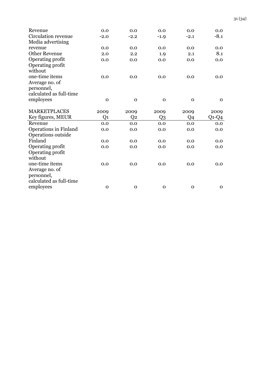| Revenue                              | 0.0          | 0.0         | 0.0         | 0.0         | 0.0         |
|--------------------------------------|--------------|-------------|-------------|-------------|-------------|
| Circulation revenue                  | $-2.0$       | $-2.2$      | $-1.9$      | $-2.1$      | $-8.1$      |
| Media advertising                    |              |             |             |             |             |
| revenue                              | 0.0          | 0.0         | 0.0         | 0.0         | 0.0         |
| <b>Other Revenue</b>                 | 2.0          | 2.2         | 1.9         | 2.1         | 8.1         |
| Operating profit                     | 0.0          | 0.0         | 0.0         | 0.0         | 0.0         |
| Operating profit                     |              |             |             |             |             |
| without                              |              |             |             |             |             |
| one-time items                       | 0.0          | 0.0         | 0.0         | 0.0         | 0.0         |
| Average no. of                       |              |             |             |             |             |
| personnel,                           |              |             |             |             |             |
| calculated as full-time              |              |             |             |             |             |
| employees                            | $\mathbf{O}$ | $\mathbf 0$ | $\mathbf 0$ | $\mathbf 0$ | $\mathbf 0$ |
|                                      |              |             |             |             |             |
|                                      |              |             |             |             |             |
| <b>MARKETPLACES</b>                  | 2009         | 2009        | 2009        | 2009        | 2009        |
| Key figures, MEUR                    | Q1           | Q2          | Q3          | Q4          | $Q1-Q4$     |
| Revenue                              | 0.0          | 0.0         | 0.0         | 0.0         | 0.0         |
| <b>Operations in Finland</b>         | 0.0          | 0.0         | 0.0         | 0.0         | 0.0         |
| Operations outside                   |              |             |             |             |             |
| Finland                              | 0.0          | 0.0         | 0.0         | 0.0         | 0.0         |
| Operating profit                     | 0.0          | 0.0         | 0.0         | 0.0         | 0.0         |
| Operating profit                     |              |             |             |             |             |
| without                              |              |             |             |             |             |
| one-time items                       | 0.0          | 0.0         | 0.0         | 0.0         | 0.0         |
| Average no. of                       |              |             |             |             |             |
| personnel,                           |              |             |             |             |             |
| calculated as full-time<br>employees |              |             |             |             |             |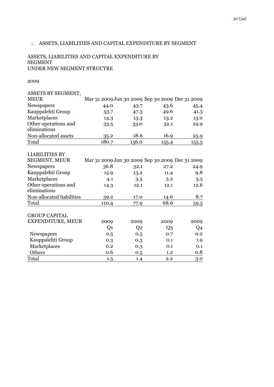## 3. ASSETS, LIABILITIES AND CAPITAL EXPENDITURE BY SEGMENT

#### ASSETS, LIABILITIES AND CAPITAL EXPENDITURE BY SEGMENT UNDER NEW SEGMENT STRUCTRE

| ASSETS BY SEGMENT,                   |                                                 |                |                |       |
|--------------------------------------|-------------------------------------------------|----------------|----------------|-------|
| <b>MEUR</b>                          | Mar 31 2009 Jun 30 2009 Sep 30 2009 Dec 31 2009 |                |                |       |
| Newspapers                           | 44.0                                            | 43.7           | 43.6           | 45.4  |
| Kauppalehti Group                    | 53.7                                            | 47.3           | 49.6           | 41.3  |
| Marketplaces                         | 14.3                                            | 13.3           | 13.2           | 13.0  |
| Other operations and<br>eliminations | 33.5                                            | 33.0           | 32.1           | 29.9  |
| Non-allocated assets                 | 35.2                                            | 18.6           | 16.9           | 25.9  |
| Total                                | 180.7                                           | 156.0          | 155.4          | 155.5 |
| <b>LIABILITIES BY</b>                |                                                 |                |                |       |
| SEGMENT, MEUR                        | Mar 31 2009 Jun 30 2009 Sep 30 2009 Dec 31 2009 |                |                |       |
| Newspapers                           | 36.8                                            | 32.1           | 27.2           | 24.9  |
| Kauppalehti Group                    | 15.9                                            | 13.2           | 11.4           | 9.8   |
| Marketplaces                         | 4.1                                             | 3.5            | 3.2            | 3.5   |
| Other operations and<br>eliminations | 14.3                                            | 12.1           | 12.1           | 12.6  |
| Non-allocated liabilities            | 39.2                                            | 17.0           | 14.6           | 8.7   |
| Total                                | 110.4                                           | 77.9           | 68.6           | 59.5  |
| <b>GROUP CAPITAL</b>                 |                                                 |                |                |       |
| EXPENDITURE, MEUR                    | 2009                                            | 2009           | 2009           | 2009  |
|                                      | Q <sub>1</sub>                                  | Q <sub>2</sub> | Q <sub>3</sub> | Q4    |
| Newspapers                           | 0.5                                             | 0.5            | 0.7            | 0.2   |
| Kauppalehti Group                    | 0.3                                             | 0.3            | 0.1            | 1.9   |
| Marketplaces                         | 0.2                                             | 0.3            | 0.1            | 0.1   |
| Others                               | 0.6                                             | 0.5            | 1.2            | 0.8   |
| Total                                | 1.5                                             | 1.4            | 2.2            | 3.0   |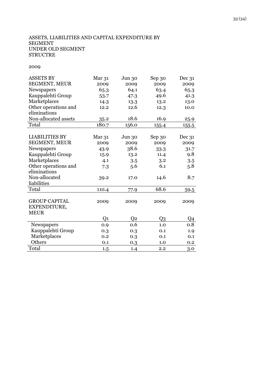## ASSETS, LIABILITIES AND CAPITAL EXPENDITURE BY SEGMENT UNDER OLD SEGMENT **STRUCTRE**

| <b>ASSETS BY</b>      | Mar 31 | Jun 30         | Sep 30 | Dec 31  |
|-----------------------|--------|----------------|--------|---------|
| <b>SEGMENT, MEUR</b>  | 2009   | 2009           | 2009   | 2009    |
| Newspapers            | 65.3   | 64.1           | 63.4   | 65.3    |
| Kauppalehti Group     | 53.7   | 47.3           | 49.6   | 41.3    |
| Marketplaces          | 14.3   | 13.3           | 13.2   | 13.0    |
| Other operations and  | 12.2   | 12.6           | 12.3   | 10.0    |
| eliminations          |        |                |        |         |
| Non-allocated assets  | 35.2   | 18.6           | 16.9   | 25.9    |
| Total                 | 180.7  | 156.0          | 155.4  | 155.5   |
|                       |        |                |        |         |
| <b>LIABILITIES BY</b> | Mar 31 | Jun 30         | Sep 30 | Dec 31  |
| <b>SEGMENT, MEUR</b>  | 2009   | 2009           | 2009   | 2009    |
| Newspapers            | 43.9   | 38.6           | 33.3   | 31.7    |
| Kauppalehti Group     | 15.9   | 13.2           | 11.4   | 9.8     |
| Marketplaces          | 4.1    | 3.5            | 3.2    | 3.5     |
| Other operations and  | 7.3    | 5.6            | 6.1    | 5.8     |
| eliminations          |        |                |        |         |
| Non-allocated         | 39.2   | 17.0           | 14.6   | 8.7     |
| liabilities           |        |                |        |         |
| Total                 | 110.4  | 77.9           | 68.6   | 59.5    |
|                       |        |                |        |         |
| <b>GROUP CAPITAL</b>  | 2009   | 2009           | 2009   | 2009    |
| EXPENDITURE,          |        |                |        |         |
| <b>MEUR</b>           |        |                |        |         |
|                       | Q1     | Q <sub>2</sub> | Q3     | Q4      |
| Newspapers            | 0.9    | 0.6            | 1.0    | $0.8\,$ |
| Kauppalehti Group     | 0.3    | 0.3            | 0.1    | 1.9     |
| Marketplaces          | 0.2    | 0.3            | 0.1    | 0.1     |
| Others                | 0.1    | 0.3            | 1.0    | $0.2\,$ |
| Total                 | 1.5    | 1.4            | 2.2    | 3.0     |